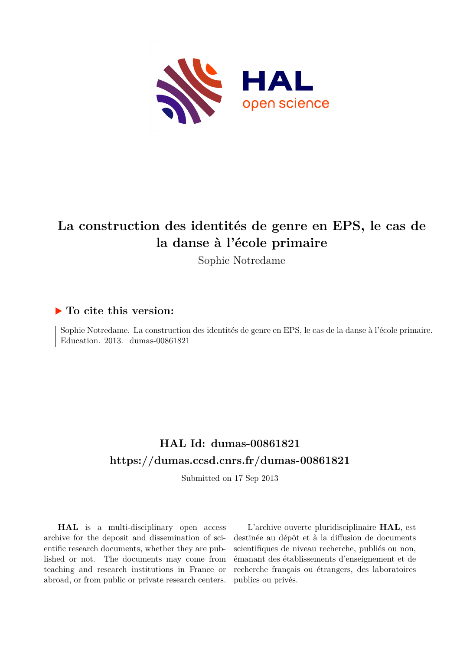

# **La construction des identités de genre en EPS, le cas de la danse à l'école primaire**

Sophie Notredame

# **To cite this version:**

Sophie Notredame. La construction des identités de genre en EPS, le cas de la danse à l'école primaire. Education. 2013. dumas-00861821

# **HAL Id: dumas-00861821 <https://dumas.ccsd.cnrs.fr/dumas-00861821>**

Submitted on 17 Sep 2013

**HAL** is a multi-disciplinary open access archive for the deposit and dissemination of scientific research documents, whether they are published or not. The documents may come from teaching and research institutions in France or abroad, or from public or private research centers.

L'archive ouverte pluridisciplinaire **HAL**, est destinée au dépôt et à la diffusion de documents scientifiques de niveau recherche, publiés ou non, émanant des établissements d'enseignement et de recherche français ou étrangers, des laboratoires publics ou privés.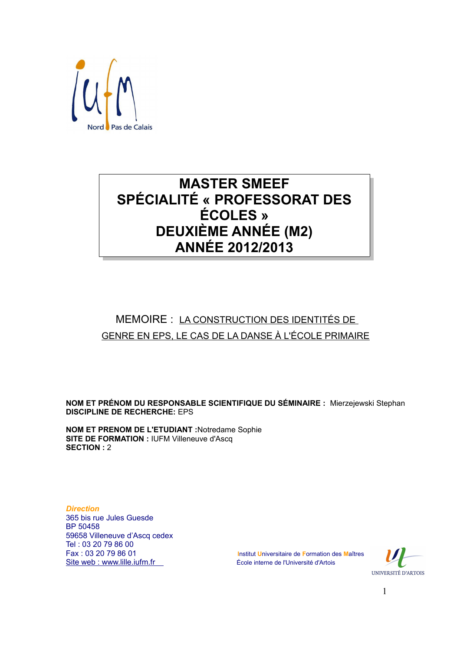

# **MASTER SMEEF SPÉCIALITÉ « PROFESSORAT DES ÉCOLES** » **DEUXIÈME ANNÉE (M2) ANNÉE 2012/2013**

# MEMOIRE : LA CONSTRUCTION DES IDENTITÉS DE GENRE EN EPS. LE CAS DE LA DANSE À L'ÉCOLE PRIMAIRE

NOM ET PRÉNOM DU RESPONSABLE SCIENTIFIQUE DU SÉMINAIRE : Mierzejewski Stephan **DISCIPLINE DE RECHERCHE: EPS** 

**NOM ET PRENOM DE L'ETUDIANT :Notredame Sophie SITE DE FORMATION : IUFM Villeneuve d'Asca SECTION: 2** 

**Direction** 365 bis rue Jules Guesde **BP 50458** 59658 Villeneuve d'Ascq cedex Tel: 03 20 79 86 00 Fax: 03 20 79 86 01 Site web: www.lille.iufm.fr

Institut Universitaire de Formation des Maîtres École interne de l'Université d'Artois

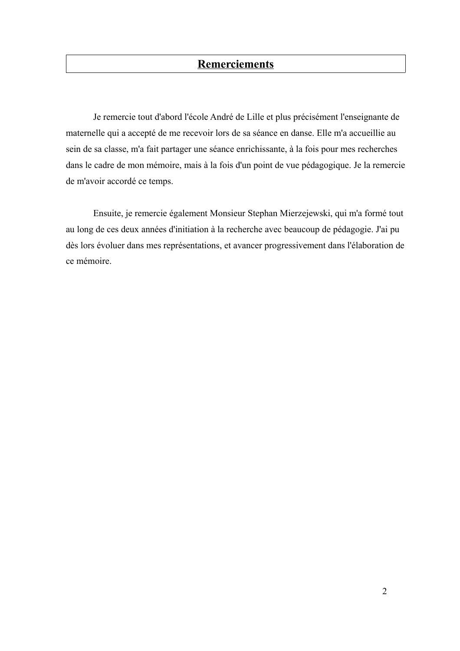# **Remerciements**

Je remercie tout d'abord l'école André de Lille et plus précisément l'enseignante de maternelle qui a accepté de me recevoir lors de sa séance en danse. Elle m'a accueillie au sein de sa classe, m'a fait partager une séance enrichissante, à la fois pour mes recherches dans le cadre de mon mémoire, mais à la fois d'un point de vue pédagogique. Je la remercie de m'avoir accordé ce temps.

Ensuite, je remercie également Monsieur Stephan Mierzejewski, qui m'a formé tout au long de ces deux années d'initiation à la recherche avec beaucoup de pédagogie. J'ai pu dès lors évoluer dans mes représentations, et avancer progressivement dans l'élaboration de ce mémoire.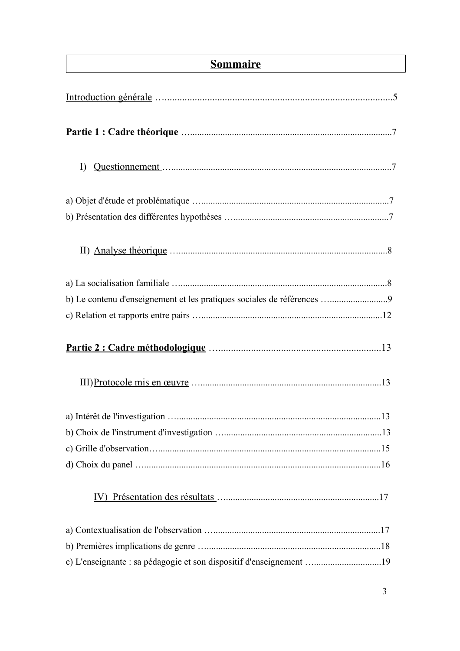# **Sommaire**

| $\Gamma$                                                               |  |
|------------------------------------------------------------------------|--|
|                                                                        |  |
|                                                                        |  |
|                                                                        |  |
|                                                                        |  |
|                                                                        |  |
| b) Le contenu d'enseignement et les pratiques sociales de références 9 |  |
|                                                                        |  |
|                                                                        |  |
|                                                                        |  |
|                                                                        |  |
|                                                                        |  |
|                                                                        |  |
|                                                                        |  |
| IV)                                                                    |  |
|                                                                        |  |
|                                                                        |  |
| c) L'enseignante : sa pédagogie et son dispositif d'enseignement 19    |  |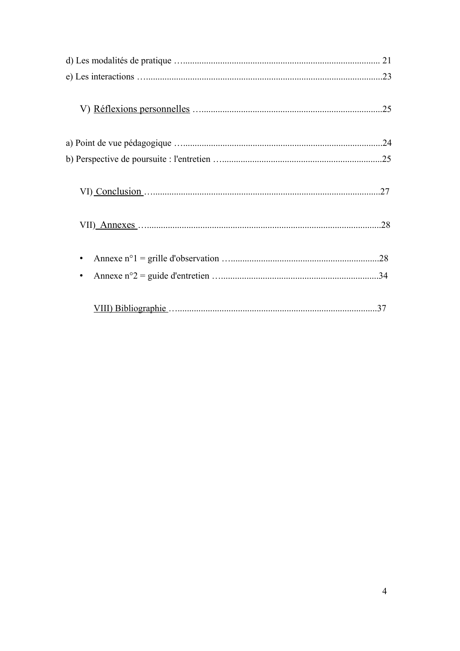| .27 |  |
|-----|--|
|     |  |
|     |  |
|     |  |
|     |  |
|     |  |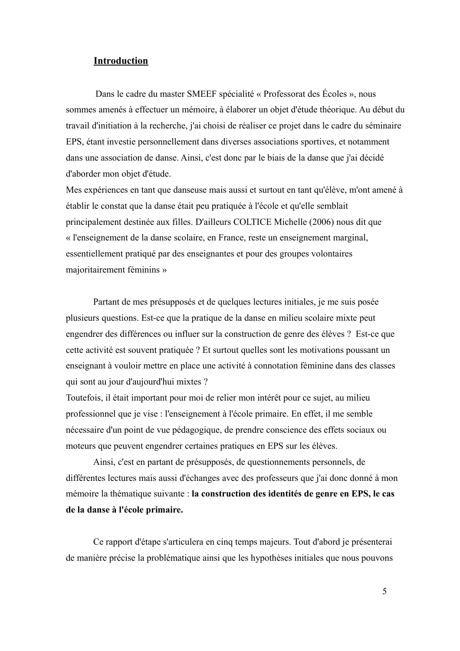### **Introduction**

Dans le cadre du master SMEEF spécialité « Professorat des Écoles », nous sommes amenés à effectuer un mémoire, à élaborer un objet d'étude théorique. Au début du travail d'initiation à la recherche, j'ai choisi de réaliser ce projet dans le cadre du séminaire EPS, étant investie personnellement dans diverses associations sportives, et notamment dans une association de danse. Ainsi, c'est donc par le biais de la danse que j'ai décidé d'aborder mon objet d'étude.

Mes expériences en tant que danseuse mais aussi et surtout en tant qu'élève, m'ont amené à établir le constat que la danse était peu pratiquée à l'école et qu'elle semblait principalement destinée aux filles. D'ailleurs COLTICE Michelle (2006) nous dit que « l'enseignement de la danse scolaire, en France, reste un enseignement marginal, essentiellement pratiqué par des enseignantes et pour des groupes volontaires majoritairement féminins »

Partant de mes présupposés et de quelques lectures initiales, je me suis posée plusieurs questions. Est-ce que la pratique de la danse en milieu scolaire mixte peut engendrer des différences ou influer sur la construction de genre des élèves ? Est-ce que cette activité est souvent pratiquée ? Et surtout quelles sont les motivations poussant un enseignant à vouloir mettre en place une activité à connotation féminine dans des classes qui sont au jour d'aujourd'hui mixtes ?

Toutefois, il était important pour moi de relier mon intérêt pour ce sujet, au milieu professionnel que je vise : l'enseignement à l'école primaire. En effet, il me semble nécessaire d'un point de vue pédagogique, de prendre conscience des effets sociaux ou moteurs que peuvent engendrer certaines pratiques en EPS sur les élèves.

Ainsi, c'est en partant de présupposés, de questionnements personnels, de différentes lectures mais aussi d'échanges avec des professeurs que j'ai donc donné à mon mémoire la thématique suivante : la construction des identités de genre en EPS, le cas de la danse à l'école primaire.

Ce rapport d'étape s'articulera en cinq temps majeurs. Tout d'abord je présenterai de manière précise la problématique ainsi que les hypothèses initiales que nous pouvons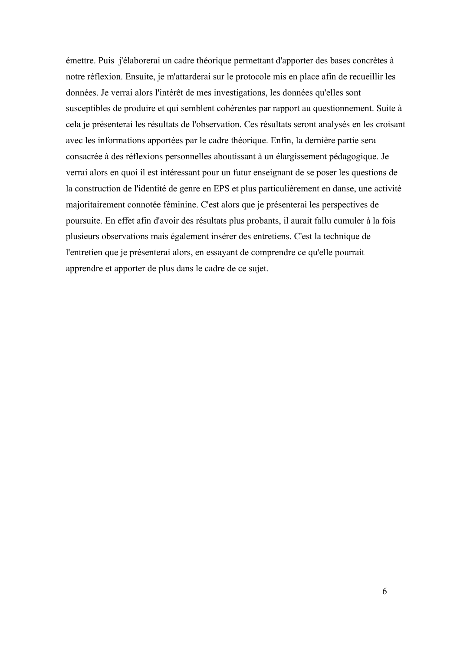émettre. Puis j'élaborerai un cadre théorique permettant d'apporter des bases concrètes à notre réflexion. Ensuite, je m'attarderai sur le protocole mis en place afin de recueillir les données. Je verrai alors l'intérêt de mes investigations, les données qu'elles sont susceptibles de produire et qui semblent cohérentes par rapport au questionnement. Suite à cela je présenterai les résultats de l'observation. Ces résultats seront analysés en les croisant avec les informations apportées par le cadre théorique. Enfin, la dernière partie sera consacrée à des réflexions personnelles aboutissant à un élargissement pédagogique. Je verrai alors en quoi il est intéressant pour un futur enseignant de se poser les questions de la construction de l'identité de genre en EPS et plus particulièrement en danse, une activité majoritairement connotée féminine. C'est alors que je présenterai les perspectives de poursuite. En effet afin d'avoir des résultats plus probants, il aurait fallu cumuler à la fois plusieurs observations mais également insérer des entretiens. C'est la technique de l'entretien que je présenterai alors, en essayant de comprendre ce qu'elle pourrait apprendre et apporter de plus dans le cadre de ce sujet.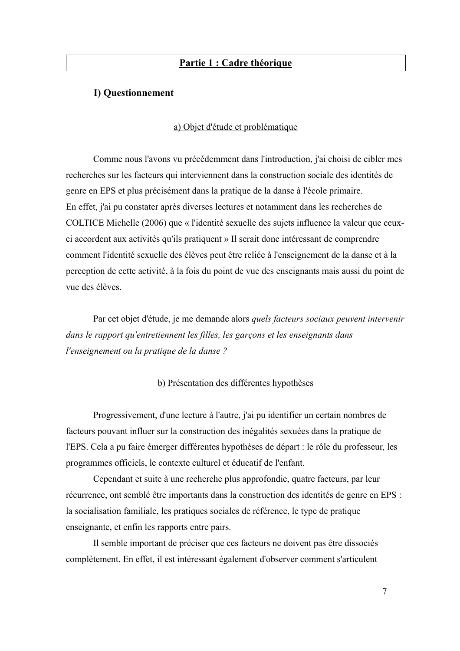### Partie 1 : Cadre théorique

### **I) Questionnement**

### a) Objet d'étude et problématique

Comme nous l'avons vu précédemment dans l'introduction, j'ai choisi de cibler mes recherches sur les facteurs qui interviennent dans la construction sociale des identités de genre en EPS et plus précisément dans la pratique de la danse à l'école primaire. En effet, j'ai pu constater après diverses lectures et notamment dans les recherches de COLTICE Michelle (2006) que « l'identité sexuelle des sujets influence la valeur que ceuxci accordent aux activités qu'ils pratiquent » Il serait donc intéressant de comprendre comment l'identité sexuelle des élèves peut être reliée à l'enseignement de la danse et à la perception de cette activité, à la fois du point de vue des enseignants mais aussi du point de vue des élèves

Par cet objet d'étude, je me demande alors *quels facteurs sociaux peuvent intervenir* dans le rapport qu'entretiennent les filles, les garçons et les enseignants dans l'enseignement ou la pratique de la danse?

#### b) Présentation des différentes hypothèses

Progressivement, d'une lecture à l'autre, j'ai pu identifier un certain nombres de facteurs pouvant influer sur la construction des inégalités sexuées dans la pratique de l'EPS. Cela a pu faire émerger différentes hypothèses de départ : le rôle du professeur, les programmes officiels, le contexte culturel et éducatif de l'enfant.

Cependant et suite à une recherche plus approfondie, quatre facteurs, par leur récurrence, ont semblé être importants dans la construction des identités de genre en EPS : la socialisation familiale, les pratiques sociales de référence, le type de pratique enseignante, et enfin les rapports entre pairs.

Il semble important de préciser que ces facteurs ne doivent pas être dissociés complètement. En effet, il est intéressant également d'observer comment s'articulent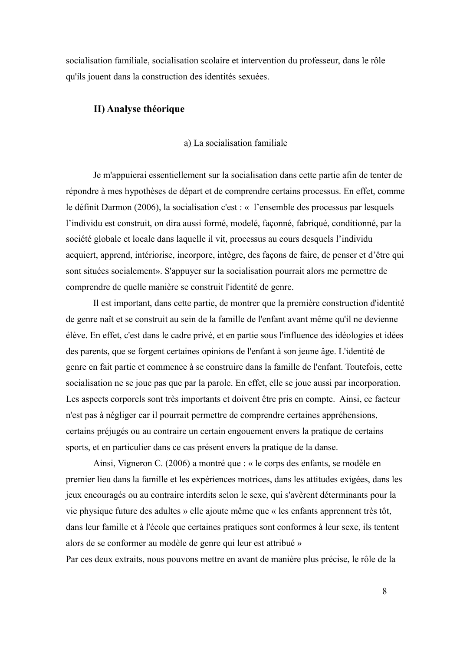socialisation familiale, socialisation scolaire et intervention du professeur, dans le rôle qu'ils jouent dans la construction des identités sexuées.

## **II) Analyse théorique**

#### a) La socialisation familiale

Je m'appuierai essentiellement sur la socialisation dans cette partie afin de tenter de répondre à mes hypothèses de départ et de comprendre certains processus. En effet, comme le définit Darmon (2006), la socialisation c'est : « l'ensemble des processus par lesquels l'individu est construit, on dira aussi formé, modelé, façonné, fabriqué, conditionné, par la société globale et locale dans laquelle il vit, processus au cours desquels l'individu acquiert, apprend, intériorise, incorpore, intègre, des façons de faire, de penser et d'être qui sont situées socialement». S'appuyer sur la socialisation pourrait alors me permettre de comprendre de quelle manière se construit l'identité de genre.

Il est important, dans cette partie, de montrer que la première construction d'identité de genre naît et se construit au sein de la famille de l'enfant avant même qu'il ne devienne élève. En effet, c'est dans le cadre privé, et en partie sous l'influence des idéologies et idées des parents, que se forgent certaines opinions de l'enfant à son jeune âge. L'identité de genre en fait partie et commence à se construire dans la famille de l'enfant. Toutefois, cette socialisation ne se joue pas que par la parole. En effet, elle se joue aussi par incorporation. Les aspects corporels sont très importants et doivent être pris en compte. Ainsi, ce facteur n'est pas à négliger car il pourrait permettre de comprendre certaines appréhensions, certains préjugés ou au contraire un certain engouement envers la pratique de certains sports, et en particulier dans ce cas présent envers la pratique de la danse.

Ainsi, Vigneron C. (2006) a montré que : « le corps des enfants, se modèle en premier lieu dans la famille et les expériences motrices, dans les attitudes exigées, dans les jeux encouragés ou au contraire interdits selon le sexe, qui s'avèrent déterminants pour la vie physique future des adultes » elle ajoute même que « les enfants apprennent très tôt, dans leur famille et à l'école que certaines pratiques sont conformes à leur sexe, ils tentent alors de se conformer au modèle de genre qui leur est attribué »

Par ces deux extraits, nous pouvons mettre en avant de manière plus précise, le rôle de la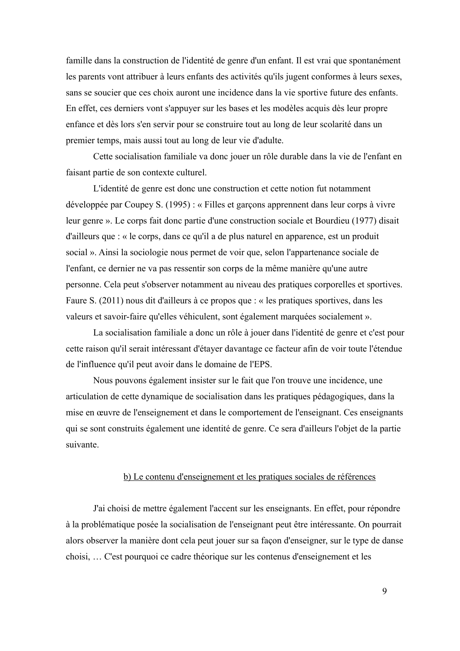famille dans la construction de l'identité de genre d'un enfant. Il est vrai que spontanément les parents vont attribuer à leurs enfants des activités qu'ils jugent conformes à leurs sexes, sans se soucier que ces choix auront une incidence dans la vie sportive future des enfants. En effet, ces derniers vont s'appuyer sur les bases et les modèles acquis dès leur propre enfance et dès lors s'en servir pour se construire tout au long de leur scolarité dans un premier temps, mais aussi tout au long de leur vie d'adulte.

Cette socialisation familiale va donc jouer un rôle durable dans la vie de l'enfant en faisant partie de son contexte culturel.

L'identité de genre est donc une construction et cette notion fut notamment développée par Coupey S. (1995) : « Filles et garçons apprennent dans leur corps à vivre leur genre ». Le corps fait donc partie d'une construction sociale et Bourdieu (1977) disait d'ailleurs que : « le corps, dans ce qu'il a de plus naturel en apparence, est un produit social ». Ainsi la sociologie nous permet de voir que, selon l'appartenance sociale de l'enfant, ce dernier ne va pas ressentir son corps de la même manière qu'une autre personne. Cela peut s'observer notamment au niveau des pratiques corporelles et sportives. Faure S.  $(2011)$  nous dit d'ailleurs à ce propos que : « les pratiques sportives, dans les valeurs et savoir-faire qu'elles véhiculent, sont également marquées socialement ».

La socialisation familiale a donc un rôle à jouer dans l'identité de genre et c'est pour cette raison qu'il serait intéressant d'étayer davantage ce facteur afin de voir toute l'étendue de l'influence qu'il peut avoir dans le domaine de l'EPS.

Nous pouvons également insister sur le fait que l'on trouve une incidence, une articulation de cette dynamique de socialisation dans les pratiques pédagogiques, dans la mise en œuvre de l'enseignement et dans le comportement de l'enseignant. Ces enseignants qui se sont construits également une identité de genre. Ce sera d'ailleurs l'objet de la partie suivante.

#### b) Le contenu d'enseignement et les pratiques sociales de références

J'ai choisi de mettre également l'accent sur les enseignants. En effet, pour répondre à la problématique posée la socialisation de l'enseignant peut être intéressante. On pourrait alors observer la manière dont cela peut jouer sur sa façon d'enseigner, sur le type de danse choisi, ... C'est pourquoi ce cadre théorique sur les contenus d'enseignement et les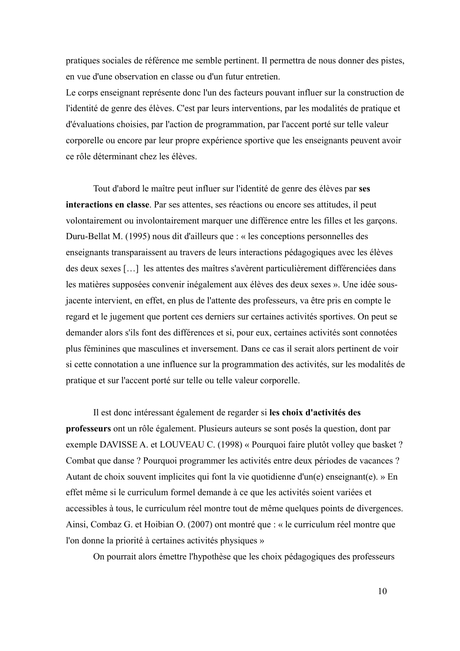pratiques sociales de référence me semble pertinent. Il permettra de nous donner des pistes, en vue d'une observation en classe ou d'un futur entretien.

Le corps enseignant représente donc l'un des facteurs pouvant influer sur la construction de l'identité de genre des élèves. C'est par leurs interventions, par les modalités de pratique et d'évaluations choisies, par l'action de programmation, par l'accent porté sur telle valeur corporelle ou encore par leur propre expérience sportive que les enseignants peuvent avoir ce rôle déterminant chez les élèves.

Tout d'abord le maître peut influer sur l'identité de genre des élèves par ses **interactions en classe**. Par ses attentes, ses réactions ou encore ses attitudes, il peut volontairement ou involontairement marquer une différence entre les filles et les garçons. Duru-Bellat M.  $(1995)$  nous dit d'ailleurs que : « les conceptions personnelles des enseignants transparaissent au travers de leurs interactions pédagogiques avec les élèves des deux sexes [...] les attentes des maîtres s'avèrent particulièrement différenciées dans les matières supposées convenir inégalement aux élèves des deux sexes ». Une idée sousjacente intervient, en effet, en plus de l'attente des professeurs, va être pris en compte le regard et le jugement que portent ces derniers sur certaines activités sportives. On peut se demander alors s'ils font des différences et si, pour eux, certaines activités sont connotées plus féminines que masculines et inversement. Dans ce cas il serait alors pertinent de voir si cette connotation a une influence sur la programmation des activités, sur les modalités de pratique et sur l'accent porté sur telle ou telle valeur corporelle.

Il est donc intéressant également de regarder si les choix d'activités des professeurs ont un rôle également. Plusieurs auteurs se sont posés la question, dont par exemple DAVISSE A. et LOUVEAU C. (1998) « Pourquoi faire plutôt volley que basket ? Combat que danse ? Pourquoi programmer les activités entre deux périodes de vacances ? Autant de choix souvent implicites qui font la vie quotidienne d'un(e) enseignant(e). » En effet même si le curriculum formel demande à ce que les activités soient variées et accessibles à tous, le curriculum réel montre tout de même quelques points de divergences. Ainsi, Combaz G. et Hoibian O. (2007) ont montré que : « le curriculum réel montre que l'on donne la priorité à certaines activités physiques »

On pourrait alors émettre l'hypothèse que les choix pédagogiques des professeurs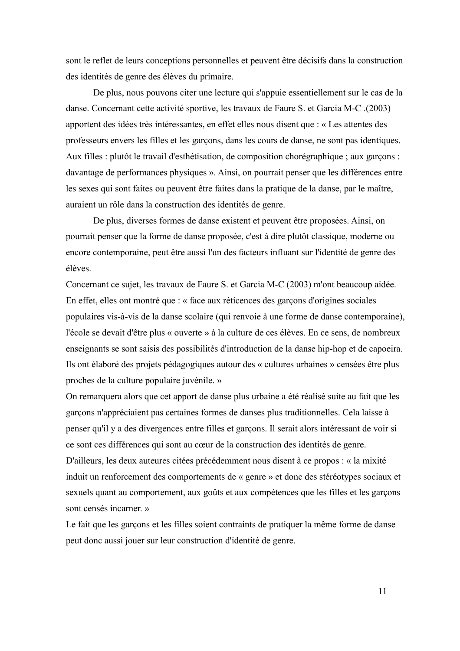sont le reflet de leurs conceptions personnelles et peuvent être décisifs dans la construction des identités de genre des élèves du primaire.

De plus, nous pouvons citer une lecture qui s'appuie essentiellement sur le cas de la danse. Concernant cette activité sportive, les travaux de Faure S. et Garcia M-C. (2003) apportent des idées très intéressantes, en effet elles nous disent que : « Les attentes des professeurs envers les filles et les garcons, dans les cours de danse, ne sont pas identiques. Aux filles : plutôt le travail d'esthétisation, de composition chorégraphique ; aux garçons : davantage de performances physiques ». Ainsi, on pourrait penser que les différences entre les sexes qui sont faites ou peuvent être faites dans la pratique de la danse, par le maître, auraient un rôle dans la construction des identités de genre.

De plus, diverses formes de danse existent et peuvent être proposées. Ainsi, on pourrait penser que la forme de danse proposée, c'est à dire plutôt classique, moderne ou encore contemporaine, peut être aussi l'un des facteurs influant sur l'identité de genre des élèves

Concernant ce sujet, les travaux de Faure S, et Garcia M-C (2003) m'ont beaucoup aidée. En effet, elles ont montré que : « face aux réticences des garçons d'origines sociales populaires vis-à-vis de la danse scolaire (qui renvoie à une forme de danse contemporaine), l'école se devait d'être plus « ouverte » à la culture de ces élèves. En ce sens, de nombreux enseignants se sont saisis des possibilités d'introduction de la danse hip-hop et de capoeira. Ils ont élaboré des projets pédagogiques autour des « cultures urbaines » censées être plus proches de la culture populaire juvénile. »

On remarquera alors que cet apport de danse plus urbaine a été réalisé suite au fait que les garcons n'appréciaient pas certaines formes de danses plus traditionnelles. Cela laisse à penser qu'il y a des divergences entre filles et garçons. Il serait alors intéressant de voir si ce sont ces différences qui sont au cœur de la construction des identités de genre. D'ailleurs, les deux auteures citées précédemment nous disent à ce propos : « la mixité induit un renforcement des comportements de « genre » et donc des stéréotypes sociaux et sexuels quant au comportement, aux goûts et aux compétences que les filles et les garçons sont censés incarner. »

Le fait que les garçons et les filles soient contraints de pratiquer la même forme de danse peut donc aussi jouer sur leur construction d'identité de genre.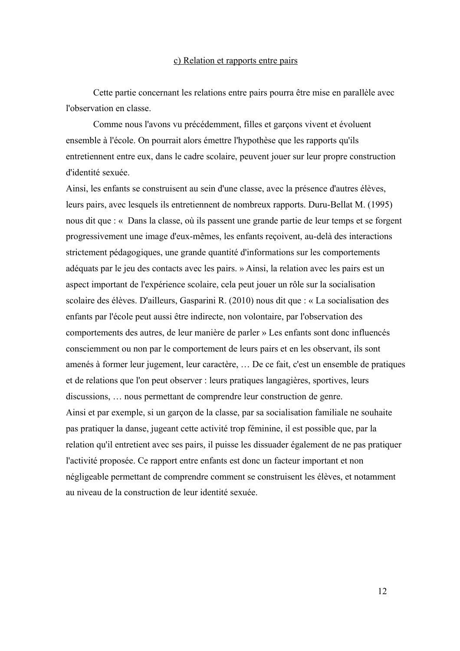#### c) Relation et rapports entre pairs

Cette partie concernant les relations entre pairs pourra être mise en parallèle avec l'observation en classe.

Comme nous l'avons vu précédemment, filles et garçons vivent et évoluent ensemble à l'école. On pourrait alors émettre l'hypothèse que les rapports qu'ils entretiennent entre eux, dans le cadre scolaire, peuvent jouer sur leur propre construction d'identité sexuée.

Ainsi, les enfants se construisent au sein d'une classe, avec la présence d'autres élèves, leurs pairs, avec lesquels ils entretiennent de nombreux rapports. Duru-Bellat M. (1995) nous dit que : « Dans la classe, où ils passent une grande partie de leur temps et se forgent progressivement une image d'eux-mêmes, les enfants reçoivent, au-delà des interactions strictement pédagogiques, une grande quantité d'informations sur les comportements adéquats par le jeu des contacts avec les pairs. » Ainsi, la relation avec les pairs est un aspect important de l'expérience scolaire, cela peut jouer un rôle sur la socialisation scolaire des élèves. D'ailleurs, Gasparini R. (2010) nous dit que : « La socialisation des enfants par l'école peut aussi être indirecte, non volontaire, par l'observation des comportements des autres, de leur manière de parler » Les enfants sont donc influencés consciemment ou non par le comportement de leurs pairs et en les observant, ils sont amenés à former leur jugement, leur caractère, ... De ce fait, c'est un ensemble de pratiques et de relations que l'on peut observer : leurs pratiques langagières, sportives, leurs discussions, ... nous permettant de comprendre leur construction de genre. Ainsi et par exemple, si un garçon de la classe, par sa socialisation familiale ne souhaite pas pratiquer la danse, jugeant cette activité trop féminine, il est possible que, par la relation qu'il entretient avec ses pairs, il puisse les dissuader également de ne pas pratiquer l'activité proposée. Ce rapport entre enfants est donc un facteur important et non négligeable permettant de comprendre comment se construisent les élèves, et notamment au niveau de la construction de leur identité sexuée.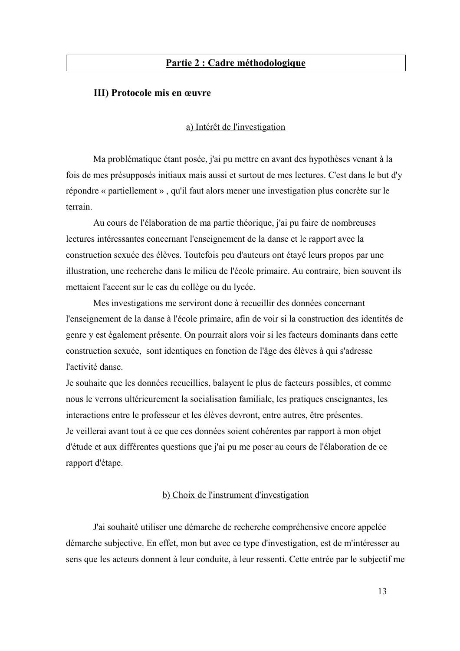## <u>**Partie 2 : Cadre méthodologique**</u>

### **III) Protocole mis en œuvre**

#### <u>a) Intérêt de l'investigation</u>

Ma problématique étant posée, j'ai pu mettre en avant des hypothèses venant à la fois de mes présupposés initiaux mais aussi et surtout de mes lectures. C'est dans le but d'y répondre « partiellement », qu'il faut alors mener une investigation plus concrète sur le terrain

Au cours de l'élaboration de ma partie théorique, j'ai pu faire de nombreuses lectures intéressantes concernant l'enseignement de la danse et le rapport avec la construction sexuée des élèves. Toutefois peu d'auteurs ont étayé leurs propos par une illustration, une recherche dans le milieu de l'école primaire. Au contraire, bien souvent ils mettaient l'accent sur le cas du collège ou du lycée.

Mes investigations me serviront donc à recueillir des données concernant l'enseignement de la danse à l'école primaire, afin de voir si la construction des identités de genre y est également présente. On pourrait alors voir si les facteurs dominants dans cette construction sexuée, sont identiques en fonction de l'âge des élèves à qui s'adresse l'activité danse.

Je souhaite que les données recueillies, balayent le plus de facteurs possibles, et comme nous le verrons ultérieurement la socialisation familiale, les pratiques enseignantes, les interactions entre le professeur et les élèves devront, entre autres, être présentes. Je veillerai avant tout à ce que ces données soient cohérentes par rapport à mon objet d'étude et aux différentes questions que j'ai pu me poser au cours de l'élaboration de ce rapport d'étape.

#### b) Choix de l'instrument d'investigation

J'ai souhaité utiliser une démarche de recherche compréhensive encore appelée démarche subjective. En effet, mon but avec ce type d'investigation, est de m'intéresser au sens que les acteurs donnent à leur conduite, à leur ressenti. Cette entrée par le subjectif me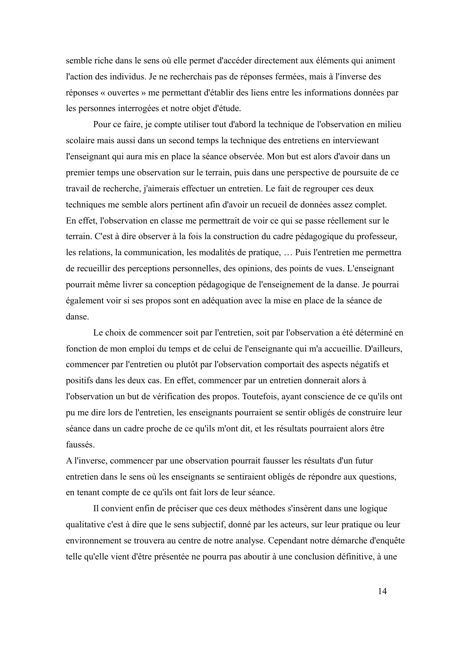semble riche dans le sens où elle permet d'accéder directement aux éléments qui animent l'action des individus. Je ne recherchais pas de réponses fermées, mais à l'inverse des réponses « ouvertes » me permettant d'établir des liens entre les informations données par les personnes interrogées et notre objet d'étude.

Pour ce faire, je compte utiliser tout d'abord la technique de l'observation en milieu scolaire mais aussi dans un second temps la technique des entretiens en interviewant l'enseignant qui aura mis en place la séance observée. Mon but est alors d'avoir dans un premier temps une observation sur le terrain, puis dans une perspective de poursuite de ce travail de recherche, j'aimerais effectuer un entretien. Le fait de regrouper ces deux techniques me semble alors pertinent afin d'avoir un recueil de données assez complet. En effet, l'observation en classe me permettrait de voir ce qui se passe réellement sur le terrain. C'est à dire observer à la fois la construction du cadre pédagogique du professeur, les relations, la communication, les modalités de pratique, ... Puis l'entretien me permettra de recueillir des perceptions personnelles, des opinions, des points de vues. L'enseignant pourrait même livrer sa conception pédagogique de l'enseignement de la danse. Je pourrai également voir si ses propos sont en adéquation avec la mise en place de la séance de danse.

Le choix de commencer soit par l'entretien, soit par l'observation a été déterminé en fonction de mon emploi du temps et de celui de l'enseignante qui m'a accueillie. D'ailleurs, commencer par l'entretien ou plutôt par l'observation comportait des aspects négatifs et positifs dans les deux cas. En effet, commencer par un entretien donnerait alors à l'observation un but de vérification des propos. Toutefois, ayant conscience de ce qu'ils ont pu me dire lors de l'entretien, les enseignants pourraient se sentir obligés de construire leur séance dans un cadre proche de ce qu'ils m'ont dit, et les résultats pourraient alors être faussés.

A l'inverse, commencer par une observation pourrait fausser les résultats d'un futur entretien dans le sens où les enseignants se sentiraient obligés de répondre aux questions, en tenant compte de ce qu'ils ont fait lors de leur séance.

Il convient enfin de préciser que ces deux méthodes s'insèrent dans une logique qualitative c'est à dire que le sens subjectif, donné par les acteurs, sur leur pratique ou leur environnement se trouvera au centre de notre analyse. Cependant notre démarche d'enquête telle qu'elle vient d'être présentée ne pourra pas aboutir à une conclusion définitive, à une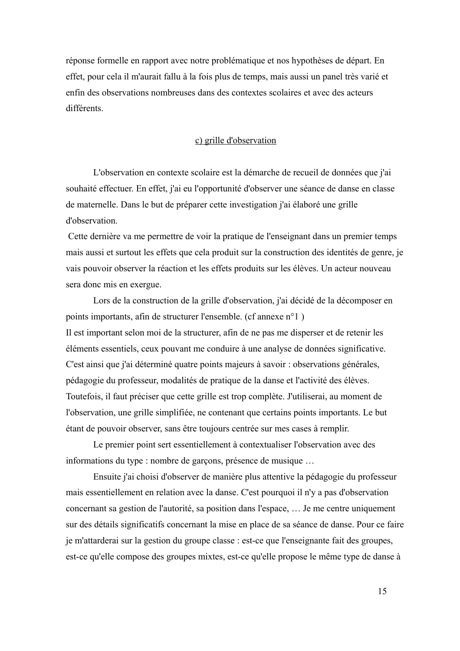réponse formelle en rapport avec notre problématique et nos hypothèses de départ. En effet, pour cela il m'aurait fallu à la fois plus de temps, mais aussi un panel très varié et enfin des observations nombreuses dans des contextes scolaires et avec des acteurs différents

#### c) grille d'observation

L'observation en contexte scolaire est la démarche de recueil de données que j'ai souhaité effectuer. En effet, j'ai eu l'opportunité d'observer une séance de danse en classe de maternelle. Dans le but de préparer cette investigation j'ai élaboré une grille d'observation.

Cette dernière va me permettre de voir la pratique de l'enseignant dans un premier temps mais aussi et surtout les effets que cela produit sur la construction des identités de genre, je vais pouvoir observer la réaction et les effets produits sur les élèves. Un acteur nouveau sera donc mis en exergue.

Lors de la construction de la grille d'observation, j'ai décidé de la décomposer en points importants, afin de structurer l'ensemble. (cf annexe n°1) Il est important selon moi de la structurer, afin de ne pas me disperser et de retenir les éléments essentiels, ceux pouvant me conduire à une analyse de données significative. C'est ainsi que j'ai déterminé quatre points majeurs à savoir : observations générales, pédagogie du professeur, modalités de pratique de la danse et l'activité des élèves. Toutefois, il faut préciser que cette grille est trop complète. J'utiliserai, au moment de l'observation, une grille simplifiée, ne contenant que certains points importants. Le but étant de pouvoir observer, sans être toujours centrée sur mes cases à remplir.

Le premier point sert essentiellement à contextualiser l'observation avec des informations du type : nombre de garçons, présence de musique ...

Ensuite j'ai choisi d'observer de manière plus attentive la pédagogie du professeur mais essentiellement en relation avec la danse. C'est pourquoi il n'y a pas d'observation concernant sa gestion de l'autorité, sa position dans l'espace, ... Je me centre uniquement sur des détails significatifs concernant la mise en place de sa séance de danse. Pour ce faire je m'attarderai sur la gestion du groupe classe : est-ce que l'enseignante fait des groupes, est-ce qu'elle compose des groupes mixtes, est-ce qu'elle propose le même type de danse à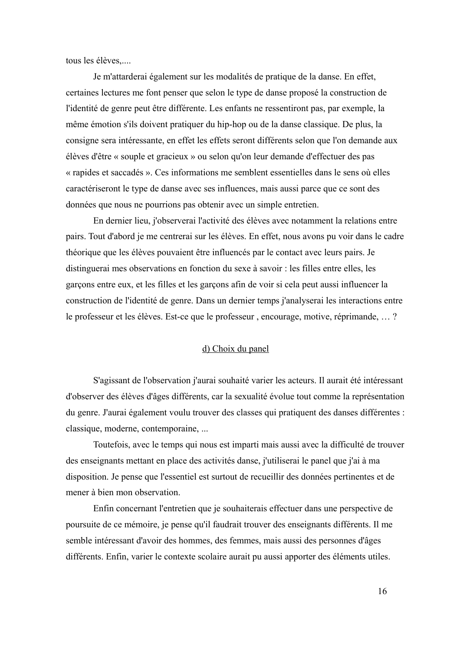tous les élèves,....

Je m'attarderai également sur les modalités de pratique de la danse. En effet, certaines lectures me font penser que selon le type de danse proposé la construction de l'identité de genre peut être différente. Les enfants ne ressentiront pas, par exemple, la même émotion s'ils doivent pratiquer du hip-hop ou de la danse classique. De plus, la consigne sera intéressante, en effet les effets seront différents selon que l'on demande aux élèves d'être « souple et gracieux » ou selon qu'on leur demande d'effectuer des pas « rapides et saccadés ». Ces informations me semblent essentielles dans le sens où elles caractériseront le type de danse avec ses influences, mais aussi parce que ce sont des données que nous ne pourrions pas obtenir avec un simple entretien.

En dernier lieu, j'observerai l'activité des élèves avec notamment la relations entre pairs. Tout d'abord je me centrerai sur les élèves. En effet, nous avons pu voir dans le cadre théorique que les élèves pouvaient être influencés par le contact avec leurs pairs. Je distinguerai mes observations en fonction du sexe à savoir : les filles entre elles, les garçons entre eux, et les filles et les garçons afin de voir si cela peut aussi influencer la construction de l'identité de genre. Dans un dernier temps j'analyserai les interactions entre le professeur et les élèves. Est-ce que le professeur, encourage, motive, réprimande, ...?

#### <u>d) Choix du panel</u>

S'agissant de l'observation j'aurai souhaité varier les acteurs. Il aurait été intéressant d'observer des élèves d'âges différents, car la sexualité évolue tout comme la représentation du genre. J'aurai également voulu trouver des classes qui pratiquent des danses différentes : classique, moderne, contemporaine, ...

Toutefois, avec le temps qui nous est imparti mais aussi avec la difficulté de trouver des enseignants mettant en place des activités danse, j'utiliserai le panel que j'ai à ma disposition. Je pense que l'essentiel est surtout de recueillir des données pertinentes et de mener à bien mon observation.

Enfin concernant l'entretien que je souhaiterais effectuer dans une perspective de poursuite de ce mémoire, je pense qu'il faudrait trouver des enseignants différents. Il me semble intéressant d'avoir des hommes, des femmes, mais aussi des personnes d'âges différents. Enfin, varier le contexte scolaire aurait pu aussi apporter des éléments utiles.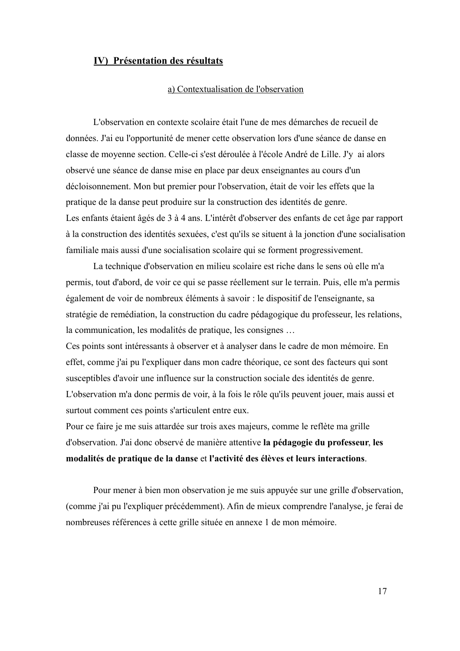### <u>**IV) Présentation des résultats**</u>

#### a) Contextualisation de l'observation

L'observation en contexte scolaire était l'une de mes démarches de recueil de données. J'ai eu l'opportunité de mener cette observation lors d'une séance de danse en classe de moyenne section. Celle-ci s'est déroulée à l'école André de Lille. J'y ai alors observé une séance de danse mise en place par deux enseignantes au cours d'un décloisonnement. Mon but premier pour l'observation, était de voir les effets que la pratique de la danse peut produire sur la construction des identités de genre. Les enfants étaient âgés de 3 à 4 ans. L'intérêt d'observer des enfants de cet âge par rapport à la construction des identités sexuées, c'est qu'ils se situent à la jonction d'une socialisation familiale mais aussi d'une socialisation scolaire qui se forment progressivement.

La technique d'observation en milieu scolaire est riche dans le sens où elle m'a permis, tout d'abord, de voir ce qui se passe réellement sur le terrain. Puis, elle m'a permis également de voir de nombreux éléments à savoir : le dispositif de l'enseignante, sa stratégie de remédiation, la construction du cadre pédagogique du professeur, les relations, la communication, les modalités de pratique, les consignes ...

Ces points sont intéressants à observer et à analyser dans le cadre de mon mémoire. En effet, comme j'ai pu l'expliquer dans mon cadre théorique, ce sont des facteurs qui sont susceptibles d'avoir une influence sur la construction sociale des identités de genre. L'observation m'a donc permis de voir, à la fois le rôle qu'ils peuvent jouer, mais aussi et surtout comment ces points s'articulent entre eux.

Pour ce faire je me suis attardée sur trois axes majeurs, comme le reflète ma grille d'observation. J'ai donc observé de manière attentive la pédagogie du professeur, les **Exercise Exercise Exercise Exercices** et l'activité des élèves et leurs interactions.

Pour mener à bien mon observation je me suis appuyée sur une grille d'observation, (comme j'ai pu l'expliquer précédemment). Afin de mieux comprendre l'analyse, je ferai de nombreuses références à cette grille située en annexe 1 de mon mémoire.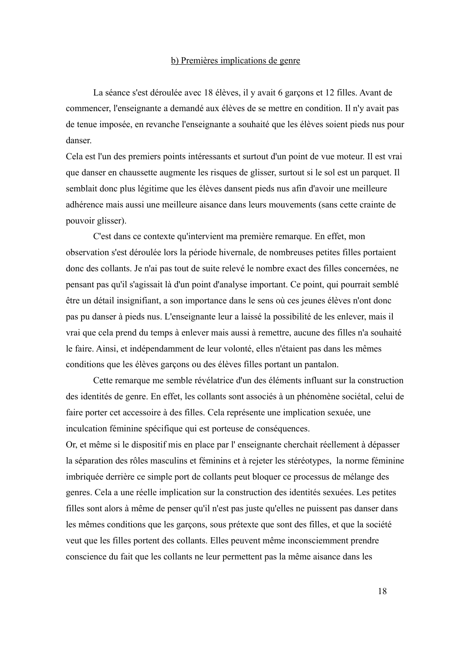#### b) Premières implications de genre

La séance s'est déroulée avec 18 élèves, il y avait 6 garçons et 12 filles. Avant de commencer, l'enseignante a demandé aux élèves de se mettre en condition. Il n'y avait pas de tenue imposée, en revanche l'enseignante a souhaité que les élèves soient pieds nus pour danser

Cela est l'un des premiers points intéressants et surtout d'un point de vue moteur. Il est vrai que danser en chaussette augmente les risques de glisser, surtout si le sol est un parquet. Il semblait donc plus légitime que les élèves dansent pieds nus afin d'avoir une meilleure adhérence mais aussi une meilleure aisance dans leurs mouvements (sans cette crainte de pouvoir glisser).

C'est dans ce contexte qu'intervient ma première remarque. En effet, mon observation s'est déroulée lors la période hivernale, de nombreuses petites filles portaient donc des collants. Je n'ai pas tout de suite relevé le nombre exact des filles concernées, ne pensant pas qu'il s'agissait là d'un point d'analyse important. Ce point, qui pourrait semblé être un détail insignifiant, a son importance dans le sens où ces jeunes élèves n'ont donc pas pu danser à pieds nus. L'enseignante leur a laissé la possibilité de les enlever, mais il vrai que cela prend du temps à enlever mais aussi à remettre, aucune des filles n'a souhaité le faire. Ainsi, et indépendamment de leur volonté, elles n'étaient pas dans les mêmes conditions que les élèves garçons ou des élèves filles portant un pantalon.

Cette remarque me semble révélatrice d'un des éléments influant sur la construction des identités de genre. En effet, les collants sont associés à un phénomène sociétal, celui de faire porter cet accessoire à des filles. Cela représente une implication sexuée, une inculcation féminine spécifique qui est porteuse de conséquences.

Or, et même si le dispositif mis en place par l'enseignante cherchait réellement à dépasser la séparation des rôles masculins et féminins et à rejeter les stéréotypes, la norme féminine imbriquée derrière ce simple port de collants peut bloquer ce processus de mélange des genres. Cela a une réelle implication sur la construction des identités sexuées. Les petites filles sont alors à même de penser qu'il n'est pas juste qu'elles ne puissent pas danser dans les mêmes conditions que les garçons, sous prétexte que sont des filles, et que la société veut que les filles portent des collants. Elles peuvent même inconsciemment prendre conscience du fait que les collants ne leur permettent pas la même aisance dans les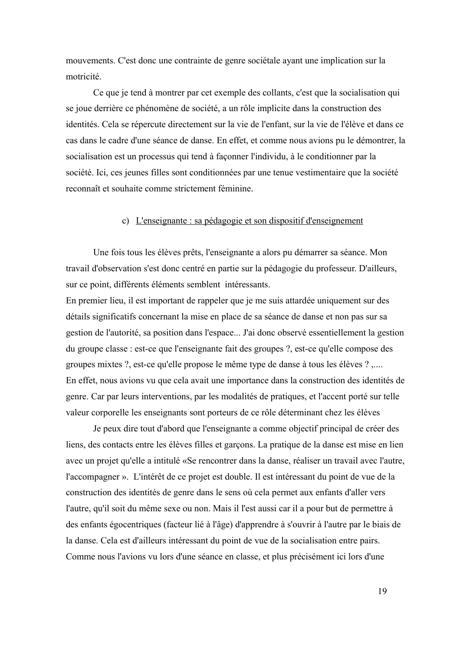mouvements. C'est donc une contrainte de genre sociétale ayant une implication sur la motricité

Ce que je tend à montrer par cet exemple des collants, c'est que la socialisation qui se joue derrière ce phénomène de société, a un rôle implicite dans la construction des identités. Cela se répercute directement sur la vie de l'enfant, sur la vie de l'élève et dans ce cas dans le cadre d'une séance de danse. En effet, et comme nous avions pu le démontrer, la socialisation est un processus qui tend à façonner l'individu, à le conditionner par la société. Ici, ces jeunes filles sont conditionnées par une tenue vestimentaire que la société reconnaît et souhaite comme strictement féminine.

#### c) L'enseignante : sa pédagogie et son dispositif d'enseignement

Une fois tous les élèves prêts, l'enseignante a alors pu démarrer sa séance. Mon travail d'observation s'est donc centré en partie sur la pédagogie du professeur. D'ailleurs, sur ce point, différents éléments semblent intéressants.

En premier lieu, il est important de rappeler que je me suis attardée uniquement sur des détails significatifs concernant la mise en place de sa séance de danse et non pas sur sa gestion de l'autorité, sa position dans l'espace... J'ai donc observé essentiellement la gestion du groupe classe : est-ce que l'enseignante fait des groupes ?, est-ce qu'elle compose des groupes mixtes ?, est-ce qu'elle propose le même type de danse à tous les élèves ? ,.... En effet, nous avions vu que cela avait une importance dans la construction des identités de genre. Car par leurs interventions, par les modalités de pratiques, et l'accent porté sur telle valeur corporelle les enseignants sont porteurs de ce rôle déterminant chez les élèves

Je peux dire tout d'abord que l'enseignante a comme objectif principal de créer des liens, des contacts entre les élèves filles et garçons. La pratique de la danse est mise en lien avec un projet qu'elle a intitulé «Se rencontrer dans la danse, réaliser un travail avec l'autre, l'accompagner ». L'intérêt de ce projet est double. Il est intéressant du point de vue de la construction des identités de genre dans le sens où cela permet aux enfants d'aller vers l'autre, qu'il soit du même sexe ou non. Mais il l'est aussi car il a pour but de permettre à des enfants égocentriques (facteur lié à l'âge) d'apprendre à s'ouvrir à l'autre par le biais de la danse. Cela est d'ailleurs intéressant du point de vue de la socialisation entre pairs. Comme nous l'avions vu lors d'une séance en classe, et plus précisément ici lors d'une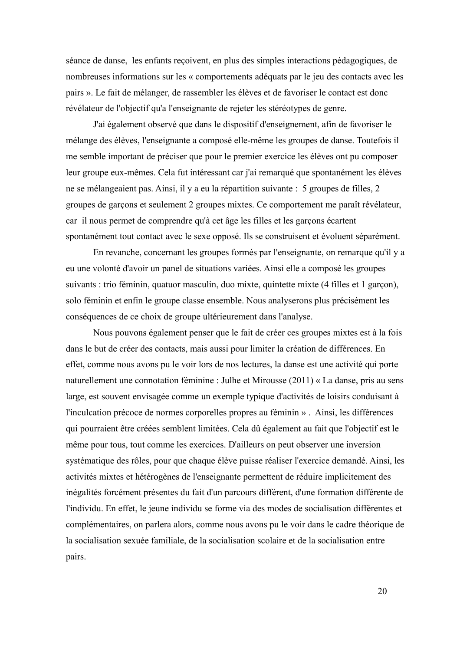séance de danse, les enfants reçoivent, en plus des simples interactions pédagogiques, de nombreuses informations sur les « comportements adéquats par le jeu des contacts avec les pairs ». Le fait de mélanger, de rassembler les élèves et de favoriser le contact est donc révélateur de l'objectif qu'a l'enseignante de rejeter les stéréotypes de genre.

J'ai également observé que dans le dispositif d'enseignement, afin de favoriser le mélange des élèves, l'enseignante a composé elle-même les groupes de danse. Toutefois il me semble important de préciser que pour le premier exercice les élèves ont pu composer leur groupe eux-mêmes. Cela fut intéressant car j'ai remarqué que spontanément les élèves ne se mélangeaient pas. Ainsi, il y a eu la répartition suivante : 5 groupes de filles, 2 groupes de garçons et seulement 2 groupes mixtes. Ce comportement me paraît révélateur, car il nous permet de comprendre qu'à cet âge les filles et les garçons écartent spontanément tout contact avec le sexe opposé. Ils se construisent et évoluent séparément.

En revanche, concernant les groupes formés par l'enseignante, on remarque qu'il y a eu une volonté d'avoir un panel de situations variées. Ainsi elle a composé les groupes suivants : trio féminin, quatuor masculin, duo mixte, quintette mixte (4 filles et 1 garçon), solo féminin et enfin le groupe classe ensemble. Nous analyserons plus précisément les conséquences de ce choix de groupe ultérieurement dans l'analyse.

Nous pouvons également penser que le fait de créer ces groupes mixtes est à la fois dans le but de créer des contacts, mais aussi pour limiter la création de différences. En effet, comme nous avons pu le voir lors de nos lectures, la danse est une activité qui porte naturellement une connotation féminine : Julhe et Mirousse (2011) « La danse, pris au sens large, est souvent envisagée comme un exemple typique d'activités de loisirs conduisant à l'inculcation précoce de normes corporelles propres au féminin ». Ainsi, les différences qui pourraient être créées semblent limitées. Cela dû également au fait que l'objectif est le même pour tous, tout comme les exercices. D'ailleurs on peut observer une inversion systématique des rôles, pour que chaque élève puisse réaliser l'exercice demandé. Ainsi, les activités mixtes et hétérogènes de l'enseignante permettent de réduire implicitement des inégalités forcément présentes du fait d'un parcours différent, d'une formation différente de l'individu. En effet, le jeune individu se forme via des modes de socialisation différentes et complémentaires, on parlera alors, comme nous avons pu le voir dans le cadre théorique de la socialisation sexuée familiale, de la socialisation scolaire et de la socialisation entre pairs.

20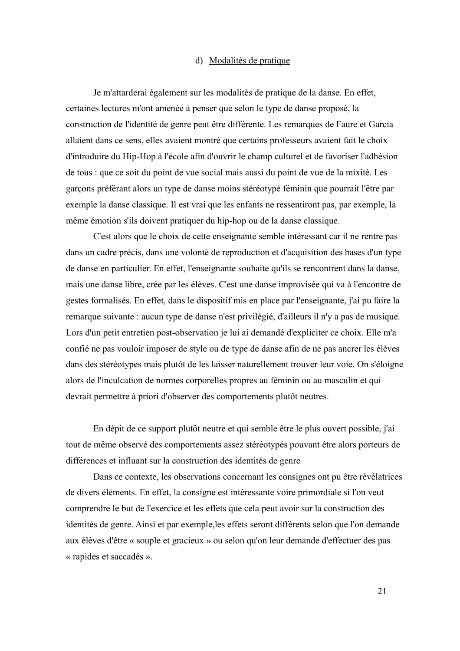#### d) Modalités de pratique

Je m'attarderai également sur les modalités de pratique de la danse. En effet, certaines lectures m'ont amenée à penser que selon le type de danse proposé, la construction de l'identité de genre peut être différente. Les remarques de Faure et Garcia allaient dans ce sens, elles avaient montré que certains professeurs avaient fait le choix d'introduire du Hip-Hop à l'école afin d'ouvrir le champ culturel et de favoriser l'adhésion de tous : que ce soit du point de vue social mais aussi du point de vue de la mixité. Les garçons préférant alors un type de danse moins stéréotypé féminin que pourrait l'être par exemple la danse classique. Il est vrai que les enfants ne ressentiront pas, par exemple, la même émotion s'ils doivent pratiquer du hip-hop ou de la danse classique.

C'est alors que le choix de cette enseignante semble intéressant car il ne rentre pas dans un cadre précis, dans une volonté de reproduction et d'acquisition des bases d'un type de danse en particulier. En effet, l'enseignante souhaite qu'ils se rencontrent dans la danse, mais une danse libre, crée par les élèves. C'est une danse improvisée qui va à l'encontre de gestes formalisés. En effet, dans le dispositif mis en place par l'enseignante, j'ai pu faire la remarque suivante : aucun type de danse n'est privilégié, d'ailleurs il n'y a pas de musique. Lors d'un petit entretien post-observation je lui ai demandé d'expliciter ce choix. Elle m'a confié ne pas vouloir imposer de style ou de type de danse afin de ne pas ancrer les élèves dans des stéréotypes mais plutôt de les laisser naturellement trouver leur voie. On s'éloigne alors de l'inculcation de normes corporelles propres au féminin ou au masculin et qui devrait permettre à priori d'observer des comportements plutôt neutres.

En dépit de ce support plutôt neutre et qui semble être le plus ouvert possible, j'ai tout de même observé des comportements assez stéréotypés pouvant être alors porteurs de différences et influant sur la construction des identités de genre

Dans ce contexte, les observations concernant les consignes ont pu être révélatrices de divers éléments. En effet, la consigne est intéressante voire primordiale si l'on veut comprendre le but de l'exercice et les effets que cela peut avoir sur la construction des identités de genre. Ainsi et par exemple, les effets seront différents selon que l'on demande aux élèves d'être « souple et gracieux » ou selon qu'on leur demande d'effectuer des pas « rapides et saccadés ».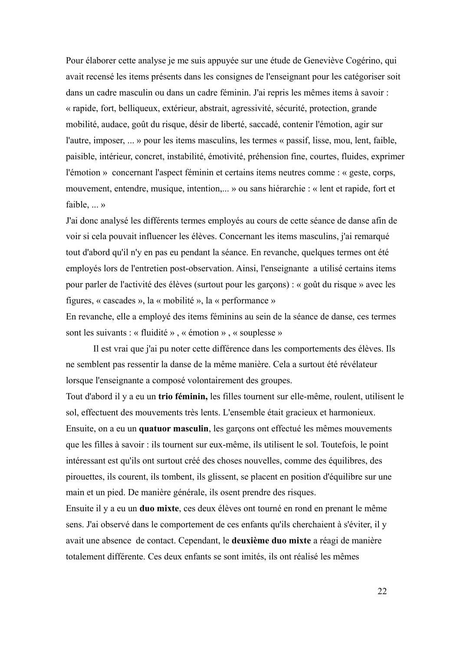Pour élaborer cette analyse je me suis appuyée sur une étude de Geneviève Cogérino, qui avait recensé les items présents dans les consignes de l'enseignant pour les catégoriser soit dans un cadre masculin ou dans un cadre féminin. J'ai repris les mêmes items à savoir : « rapide, fort, belliqueux, extérieur, abstrait, agressivité, sécurité, protection, grande mobilité, audace, goût du risque, désir de liberté, saccadé, contenir l'émotion, agir sur l'autre, imposer, ... » pour les items masculins, les termes « passif, lisse, mou, lent, faible, paisible, intérieur, concret, instabilité, émotivité, préhension fine, courtes, fluides, exprimer l'émotion » concernant l'aspect féminin et certains items neutres comme : « geste, corps, mouvement, entendre, musique, intention,... » ou sans hiérarchie : « lent et rapide, fort et faible, ... »

J'ai donc analysé les différents termes employés au cours de cette séance de danse afin de voir si cela pouvait influencer les élèves. Concernant les items masculins, j'ai remarqué tout d'abord qu'il n'y en pas eu pendant la séance. En revanche, quelques termes ont été employés lors de l'entretien post-observation. Ainsi, l'enseignante a utilisé certains items pour parler de l'activité des élèves (surtout pour les garçons) : « goût du risque » avec les figures, « cascades », la « mobilité », la « performance »

En revanche, elle a employé des items féminins au sein de la séance de danse, ces termes sont les suivants : « fluidité », « émotion », « souplesse »

Il est vrai que j'ai pu noter cette différence dans les comportements des élèves. Ils ne semblent pas ressentir la danse de la même manière. Cela a surtout été révélateur lorsque l'enseignante a composé volontairement des groupes.

Tout d'abord il y a eu un **trio féminin,** les filles tournent sur elle-même, roulent, utilisent le sol, effectuent des mouvements très lents. L'ensemble était gracieux et harmonieux. Ensuite, on a eu un **quatuor masculin**, les garçons ont effectué les mêmes mouvements que les filles à savoir : ils tournent sur eux-même, ils utilisent le sol. Toutefois, le point intéressant est qu'ils ont surtout créé des choses nouvelles, comme des équilibres, des pirouettes, ils courent, ils tombent, ils glissent, se placent en position d'équilibre sur une main et un pied. De manière générale, ils osent prendre des risques.

Ensuite il y a eu un **duo mixte**, ces deux élèves ont tourné en rond en prenant le même sens. J'ai observé dans le comportement de ces enfants qu'ils cherchaient à s'éviter, il y avait une absence de contact. Cependant, le **deuxième duo mixte** a réagi de manière totalement différente. Ces deux enfants se sont imités, ils ont réalisé les mêmes

 $22$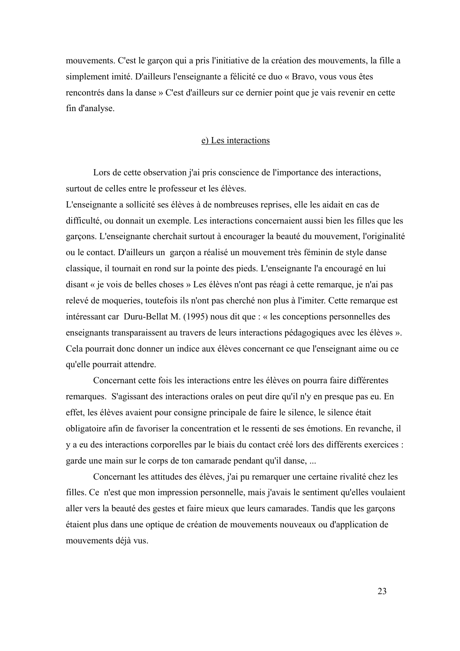mouvements. C'est le garçon qui a pris l'initiative de la création des mouvements, la fille a simplement imité. D'ailleurs l'enseignante a félicité ce duo « Bravo, vous vous êtes rencontrés dans la danse » C'est d'ailleurs sur ce dernier point que je vais revenir en cette fin d'analyse.

#### e) Les interactions

Lors de cette observation j'ai pris conscience de l'importance des interactions, surtout de celles entre le professeur et les élèves.

L'enseignante a sollicité ses élèves à de nombreuses reprises, elle les aidait en cas de difficulté, ou donnait un exemple. Les interactions concernaient aussi bien les filles que les garçons. L'enseignante cherchait surtout à encourager la beauté du mouvement, l'originalité ou le contact. D'ailleurs un garçon a réalisé un mouvement très féminin de style danse classique, il tournait en rond sur la pointe des pieds. L'enseignante l'a encouragé en lui disant « je vois de belles choses » Les élèves n'ont pas réagi à cette remarque, je n'ai pas relevé de moqueries, toutefois ils n'ont pas cherché non plus à l'imiter. Cette remarque est intéressant car Duru-Bellat M.  $(1995)$  nous dit que : « les conceptions personnelles des enseignants transparaissent au travers de leurs interactions pédagogiques avec les élèves ». Cela pourrait donc donner un indice aux élèves concernant ce que l'enseignant aime ou ce qu'elle pourrait attendre.

Concernant cette fois les interactions entre les élèves on pourra faire différentes remarques. S'agissant des interactions orales on peut dire qu'il n'y en presque pas eu. En effet, les élèves avaient pour consigne principale de faire le silence, le silence était obligatoire afin de favoriser la concentration et le ressenti de ses émotions. En revanche, il y a eu des interactions corporelles par le biais du contact créé lors des différents exercices : garde une main sur le corps de ton camarade pendant qu'il danse, ...

Concernant les attitudes des élèves, j'ai pu remarquer une certaine rivalité chez les filles. Ce n'est que mon impression personnelle, mais j'avais le sentiment qu'elles voulaient aller vers la beauté des gestes et faire mieux que leurs camarades. Tandis que les garçons étaient plus dans une optique de création de mouvements nouveaux ou d'application de mouvements déjà vus.

 $23$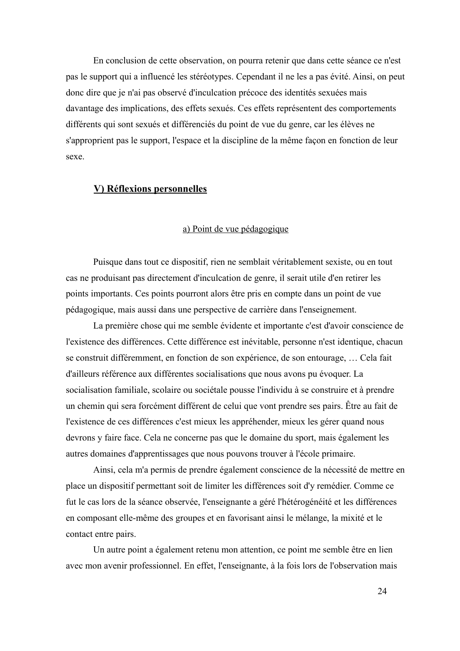En conclusion de cette observation, on pourra retenir que dans cette séance ce n'est pas le support qui a influencé les stéréotypes. Cependant il ne les a pas évité. Ainsi, on peut donc dire que je n'ai pas observé d'inculcation précoce des identités sexuées mais davantage des implications, des effets sexués. Ces effets représentent des comportements différents qui sont sexués et différenciés du point de vue du genre, car les élèves ne s'approprient pas le support, l'espace et la discipline de la même façon en fonction de leur sexe.

### **V) Réflexions personnelles**

#### <u>a) Point de vue pédagogique</u>

Puisque dans tout ce dispositif, rien ne semblait véritablement sexiste, ou en tout cas ne produisant pas directement d'inculcation de genre, il serait utile d'en retirer les points importants. Ces points pourront alors être pris en compte dans un point de vue pédagogique, mais aussi dans une perspective de carrière dans l'enseignement.

La première chose qui me semble évidente et importante c'est d'avoir conscience de l'existence des différences. Cette différence est inévitable, personne n'est identique, chacun se construit différemment, en fonction de son expérience, de son entourage, ... Cela fait d'ailleurs référence aux différentes socialisations que nous avons pu évoquer. La socialisation familiale, scolaire ou sociétale pousse l'individu à se construire et à prendre un chemin qui sera forcément différent de celui que vont prendre ses pairs. Étre au fait de l'existence de ces différences c'est mieux les appréhender, mieux les gérer quand nous devrons y faire face. Cela ne concerne pas que le domaine du sport, mais également les autres domaines d'apprentissages que nous pouvons trouver à l'école primaire.

Ainsi, cela m'a permis de prendre également conscience de la nécessité de mettre en place un dispositif permettant soit de limiter les différences soit d'y remédier. Comme ce fut le cas lors de la séance observée, l'enseignante a géré l'hétérogénéité et les différences en composant elle-même des groupes et en favorisant ainsi le mélange, la mixité et le contact entre pairs.

Un autre point a également retenu mon attention, ce point me semble être en lien avec mon avenir professionnel. En effet, l'enseignante, à la fois lors de l'observation mais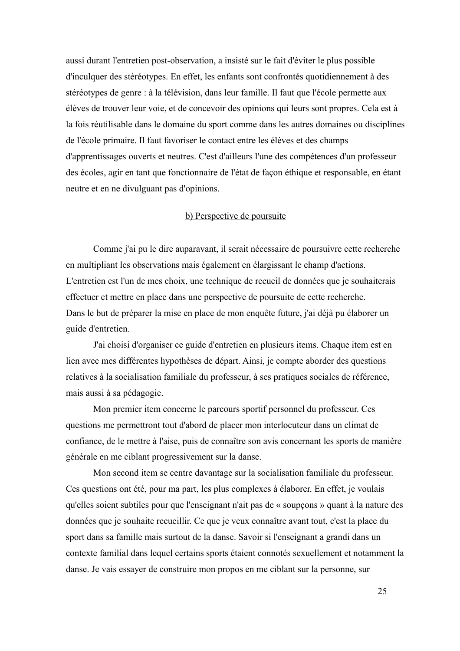aussi durant l'entretien post-observation, a insisté sur le fait d'éviter le plus possible d'inculquer des stéréotypes. En effet, les enfants sont confrontés quotidiennement à des stéréotypes de genre : à la télévision, dans leur famille. Il faut que l'école permette aux élèves de trouver leur voie, et de concevoir des opinions qui leurs sont propres. Cela est à la fois réutilisable dans le domaine du sport comme dans les autres domaines ou disciplines de l'école primaire. Il faut favoriser le contact entre les élèves et des champs d'apprentissages ouverts et neutres. C'est d'ailleurs l'une des compétences d'un professeur des écoles, agir en tant que fonctionnaire de l'état de façon éthique et responsable, en étant neutre et en ne divulguant pas d'opinions.

#### b) Perspective de poursuite

Comme j'ai pu le dire auparavant, il serait nécessaire de poursuivre cette recherche en multipliant les observations mais également en élargissant le champ d'actions. L'entretien est l'un de mes choix, une technique de recueil de données que je souhaiterais effectuer et mettre en place dans une perspective de poursuite de cette recherche. Dans le but de préparer la mise en place de mon enquête future, j'ai déjà pu élaborer un guide d'entretien.

J'ai choisi d'organiser ce guide d'entretien en plusieurs items. Chaque item est en lien avec mes différentes hypothèses de départ. Ainsi, je compte aborder des questions relatives à la socialisation familiale du professeur, à ses pratiques sociales de référence, mais aussi à sa pédagogie.

Mon premier item concerne le parcours sportif personnel du professeur. Ces questions me permettront tout d'abord de placer mon interlocuteur dans un climat de confiance, de le mettre à l'aise, puis de connaître son avis concernant les sports de manière générale en me ciblant progressivement sur la danse.

Mon second item se centre davantage sur la socialisation familiale du professeur. Ces questions ont été, pour ma part, les plus complexes à élaborer. En effet, je voulais qu'elles soient subtiles pour que l'enseignant n'ait pas de « soupçons » quant à la nature des données que je souhaite recueillir. Ce que je veux connaître avant tout, c'est la place du sport dans sa famille mais surtout de la danse. Savoir si l'enseignant a grandi dans un contexte familial dans lequel certains sports étaient connotés sexuellement et notamment la danse. Je vais essayer de construire mon propos en me ciblant sur la personne, sur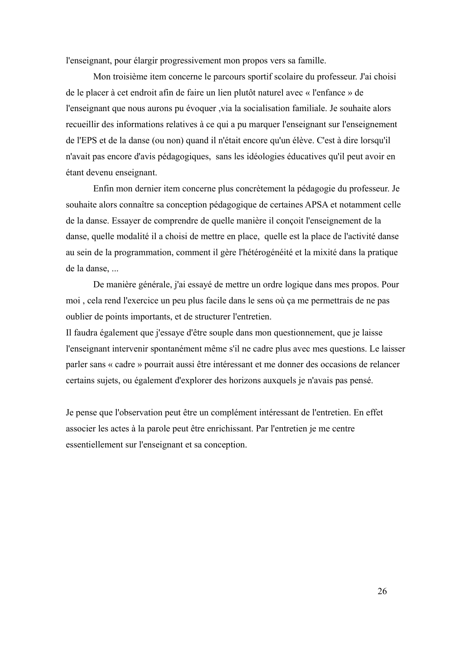l'enseignant, pour élargir progressivement mon propos vers sa famille.

Mon troisième item concerne le parcours sportif scolaire du professeur. J'ai choisi de le placer à cet endroit afin de faire un lien plutôt naturel avec « l'enfance » de l'enseignant que nous aurons pu évoquer ,via la socialisation familiale. Je souhaite alors recueillir des informations relatives à ce qui a pu marquer l'enseignant sur l'enseignement de l'EPS et de la danse (ou non) quand il n'était encore qu'un élève. C'est à dire lorsqu'il n'avait pas encore d'avis pédagogiques, sans les idéologies éducatives qu'il peut avoir en étant devenu enseignant.

Enfin mon dernier item concerne plus concrètement la pédagogie du professeur. Je souhaite alors connaître sa conception pédagogique de certaines APSA et notamment celle de la danse. Essayer de comprendre de quelle manière il conçoit l'enseignement de la danse, quelle modalité il a choisi de mettre en place, quelle est la place de l'activité danse au sein de la programmation, comment il gère l'hétérogénéité et la mixité dans la pratique de la danse, ...

De manière générale, j'ai essayé de mettre un ordre logique dans mes propos. Pour moi, cela rend l'exercice un peu plus facile dans le sens où ça me permettrais de ne pas oublier de points importants, et de structurer l'entretien.

Il faudra également que j'essaye d'être souple dans mon questionnement, que je laisse l'enseignant intervenir spontanément même s'il ne cadre plus avec mes questions. Le laisser parler sans « cadre » pourrait aussi être intéressant et me donner des occasions de relancer certains sujets, ou également d'explorer des horizons auxquels je n'avais pas pensé.

Je pense que l'observation peut être un complément intéressant de l'entretien. En effet associer les actes à la parole peut être enrichissant. Par l'entretien je me centre essentiellement sur l'enseignant et sa conception.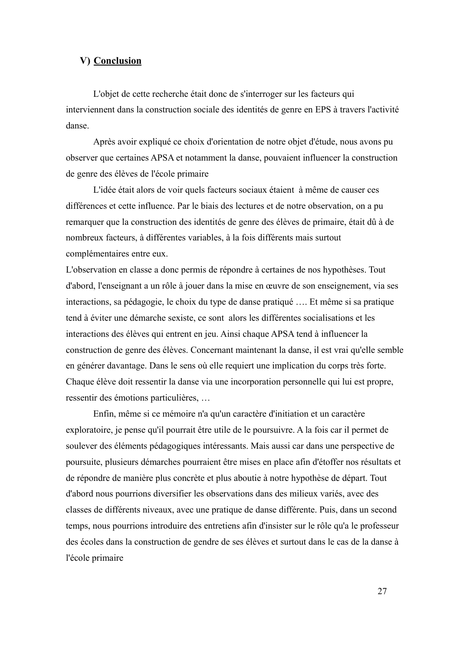## V) Conclusion

L'objet de cette recherche était donc de s'interroger sur les facteurs qui interviennent dans la construction sociale des identités de genre en EPS à travers l'activité danse

Après avoir expliqué ce choix d'orientation de notre objet d'étude, nous avons pu observer que certaines APSA et notamment la danse, pouvaient influencer la construction de genre des élèves de l'école primaire

L'idée était alors de voir quels facteurs sociaux étaient à même de causer ces différences et cette influence. Par le biais des lectures et de notre observation, on a pu remarquer que la construction des identités de genre des élèves de primaire, était dû à de nombreux facteurs, à différentes variables, à la fois différents mais surtout complémentaires entre eux.

L'observation en classe a donc permis de répondre à certaines de nos hypothèses. Tout d'abord, l'enseignant a un rôle à jouer dans la mise en œuvre de son enseignement, via ses interactions, sa pédagogie, le choix du type de danse pratiqué .... Et même si sa pratique tend à éviter une démarche sexiste, ce sont alors les différentes socialisations et les interactions des élèves qui entrent en jeu. Ainsi chaque APSA tend à influencer la construction de genre des élèves. Concernant maintenant la danse, il est vrai qu'elle semble en générer davantage. Dans le sens où elle requiert une implication du corps très forte. Chaque élève doit ressentir la danse via une incorporation personnelle qui lui est propre, ressentir des émotions particulières, ...

Enfin, même si ce mémoire n'a qu'un caractère d'initiation et un caractère exploratoire, je pense qu'il pourrait être utile de le poursuivre. A la fois car il permet de soulever des éléments pédagogiques intéressants. Mais aussi car dans une perspective de poursuite, plusieurs démarches pourraient être mises en place afin d'étoffer nos résultats et de répondre de manière plus concrète et plus aboutie à notre hypothèse de départ. Tout d'abord nous pourrions diversifier les observations dans des milieux variés, avec des classes de différents niveaux, avec une pratique de danse différente. Puis, dans un second temps, nous pourrions introduire des entretiens afin d'insister sur le rôle qu'a le professeur des écoles dans la construction de gendre de ses élèves et surtout dans le cas de la danse à l'école primaire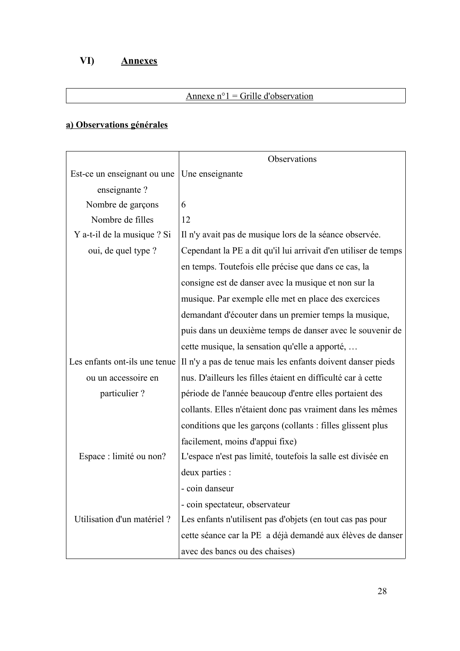#### VI) **Annexes**

# Annexe  $n^{\circ}$ 1 = Grille d'observation

# a) Observations générales

|                               | Observations                                                    |
|-------------------------------|-----------------------------------------------------------------|
| Est-ce un enseignant ou une   | Une enseignante                                                 |
| enseignante?                  |                                                                 |
| Nombre de garçons             | 6                                                               |
| Nombre de filles              | 12                                                              |
| Y a-t-il de la musique ? Si   | Il n'y avait pas de musique lors de la séance observée.         |
| oui, de quel type ?           | Cependant la PE a dit qu'il lui arrivait d'en utiliser de temps |
|                               | en temps. Toutefois elle précise que dans ce cas, la            |
|                               | consigne est de danser avec la musique et non sur la            |
|                               | musique. Par exemple elle met en place des exercices            |
|                               | demandant d'écouter dans un premier temps la musique,           |
|                               | puis dans un deuxième temps de danser avec le souvenir de       |
|                               | cette musique, la sensation qu'elle a apporté,                  |
| Les enfants ont-ils une tenue | Il n'y a pas de tenue mais les enfants doivent danser pieds     |
| ou un accessoire en           | nus. D'ailleurs les filles étaient en difficulté car à cette    |
| particulier?                  | période de l'année beaucoup d'entre elles portaient des         |
|                               | collants. Elles n'étaient donc pas vraiment dans les mêmes      |
|                               | conditions que les garçons (collants : filles glissent plus     |
|                               | facilement, moins d'appui fixe)                                 |
| Espace : limité ou non?       | L'espace n'est pas limité, toutefois la salle est divisée en    |
|                               | deux parties :                                                  |
|                               | - coin danseur                                                  |
|                               | - coin spectateur, observateur                                  |
| Utilisation d'un matériel ?   | Les enfants n'utilisent pas d'objets (en tout cas pas pour      |
|                               | cette séance car la PE a déjà demandé aux élèves de danser      |
|                               | avec des bancs ou des chaises)                                  |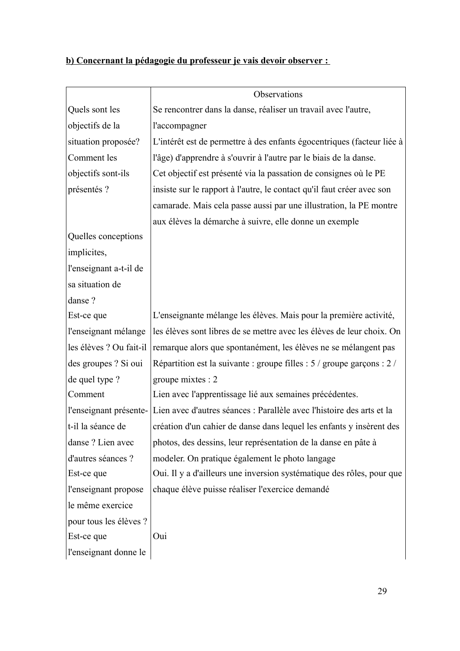| Quels sont les<br>objectifs de la<br>situation proposée?<br>Comment les<br>objectifs sont-ils<br>présentés ? | Se rencontrer dans la danse, réaliser un travail avec l'autre,<br>l'accompagner<br>L'intérêt est de permettre à des enfants égocentriques (facteur liée à<br>l'âge) d'apprendre à s'ouvrir à l'autre par le biais de la danse.<br>Cet objectif est présenté via la passation de consignes où le PE<br>insiste sur le rapport à l'autre, le contact qu'il faut créer avec son<br>camarade. Mais cela passe aussi par une illustration, la PE montre<br>aux élèves la démarche à suivre, elle donne un exemple |
|--------------------------------------------------------------------------------------------------------------|--------------------------------------------------------------------------------------------------------------------------------------------------------------------------------------------------------------------------------------------------------------------------------------------------------------------------------------------------------------------------------------------------------------------------------------------------------------------------------------------------------------|
|                                                                                                              |                                                                                                                                                                                                                                                                                                                                                                                                                                                                                                              |
|                                                                                                              |                                                                                                                                                                                                                                                                                                                                                                                                                                                                                                              |
|                                                                                                              |                                                                                                                                                                                                                                                                                                                                                                                                                                                                                                              |
|                                                                                                              |                                                                                                                                                                                                                                                                                                                                                                                                                                                                                                              |
|                                                                                                              |                                                                                                                                                                                                                                                                                                                                                                                                                                                                                                              |
|                                                                                                              |                                                                                                                                                                                                                                                                                                                                                                                                                                                                                                              |
|                                                                                                              |                                                                                                                                                                                                                                                                                                                                                                                                                                                                                                              |
|                                                                                                              |                                                                                                                                                                                                                                                                                                                                                                                                                                                                                                              |
| Quelles conceptions                                                                                          |                                                                                                                                                                                                                                                                                                                                                                                                                                                                                                              |
| implicites,                                                                                                  |                                                                                                                                                                                                                                                                                                                                                                                                                                                                                                              |
| l'enseignant a-t-il de                                                                                       |                                                                                                                                                                                                                                                                                                                                                                                                                                                                                                              |
| sa situation de                                                                                              |                                                                                                                                                                                                                                                                                                                                                                                                                                                                                                              |
| danse ?                                                                                                      |                                                                                                                                                                                                                                                                                                                                                                                                                                                                                                              |
| Est-ce que                                                                                                   | L'enseignante mélange les élèves. Mais pour la première activité,                                                                                                                                                                                                                                                                                                                                                                                                                                            |
| l'enseignant mélange                                                                                         | les élèves sont libres de se mettre avec les élèves de leur choix. On                                                                                                                                                                                                                                                                                                                                                                                                                                        |
| les élèves ? Ou fait-il                                                                                      | remarque alors que spontanément, les élèves ne se mélangent pas                                                                                                                                                                                                                                                                                                                                                                                                                                              |
| des groupes ? Si oui                                                                                         | Répartition est la suivante : groupe filles : 5 / groupe garçons : 2 /                                                                                                                                                                                                                                                                                                                                                                                                                                       |
| de quel type ?                                                                                               | groupe mixtes : 2                                                                                                                                                                                                                                                                                                                                                                                                                                                                                            |
| Comment                                                                                                      | Lien avec l'apprentissage lié aux semaines précédentes.                                                                                                                                                                                                                                                                                                                                                                                                                                                      |
| l'enseignant présente-                                                                                       | Lien avec d'autres séances : Parallèle avec l'histoire des arts et la                                                                                                                                                                                                                                                                                                                                                                                                                                        |
| t-il la séance de                                                                                            | création d'un cahier de danse dans lequel les enfants y insèrent des                                                                                                                                                                                                                                                                                                                                                                                                                                         |
| danse ? Lien avec                                                                                            | photos, des dessins, leur représentation de la danse en pâte à                                                                                                                                                                                                                                                                                                                                                                                                                                               |
| d'autres séances ?                                                                                           | modeler. On pratique également le photo langage                                                                                                                                                                                                                                                                                                                                                                                                                                                              |
| Est-ce que                                                                                                   | Oui. Il y a d'ailleurs une inversion systématique des rôles, pour que                                                                                                                                                                                                                                                                                                                                                                                                                                        |
| l'enseignant propose                                                                                         | chaque élève puisse réaliser l'exercice demandé                                                                                                                                                                                                                                                                                                                                                                                                                                                              |
| le même exercice                                                                                             |                                                                                                                                                                                                                                                                                                                                                                                                                                                                                                              |
| pour tous les élèves ?                                                                                       |                                                                                                                                                                                                                                                                                                                                                                                                                                                                                                              |
| Est-ce que<br>Oui                                                                                            |                                                                                                                                                                                                                                                                                                                                                                                                                                                                                                              |
| l'enseignant donne le                                                                                        |                                                                                                                                                                                                                                                                                                                                                                                                                                                                                                              |

# b) Concernant la pédagogie du professeur je vais devoir observer :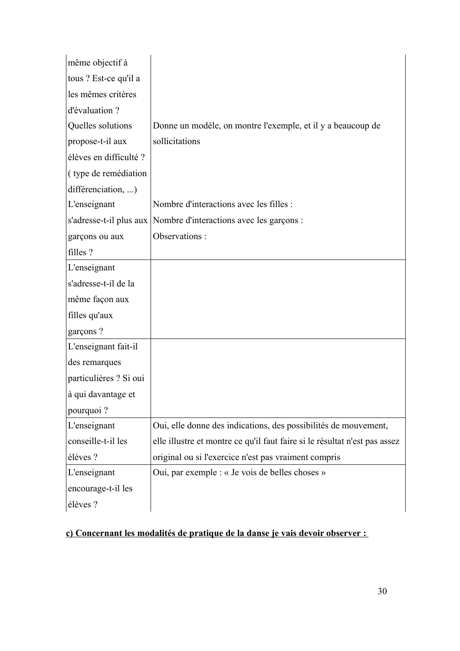| même objectif à                 |                                                                            |
|---------------------------------|----------------------------------------------------------------------------|
| tous ? Est-ce qu'il a           |                                                                            |
| les mêmes critères              |                                                                            |
| d'évaluation ?                  |                                                                            |
| Quelles solutions               | Donne un modèle, on montre l'exemple, et il y a beaucoup de                |
| propose-t-il aux                | sollicitations                                                             |
| élèves en difficulté ?          |                                                                            |
| (type de remédiation            |                                                                            |
| différenciation, )              |                                                                            |
| L'enseignant                    | Nombre d'interactions avec les filles :                                    |
| s'adresse-t-il plus aux $\vert$ | Nombre d'interactions avec les garçons :                                   |
| garçons ou aux                  | Observations:                                                              |
| filles ?                        |                                                                            |
| L'enseignant                    |                                                                            |
| s'adresse-t-il de la            |                                                                            |
| même façon aux                  |                                                                            |
| filles qu'aux                   |                                                                            |
| garçons?                        |                                                                            |
| L'enseignant fait-il            |                                                                            |
| des remarques                   |                                                                            |
| particulières ? Si oui          |                                                                            |
| à qui davantage et              |                                                                            |
| pourquoi?                       |                                                                            |
| L'enseignant                    | Oui, elle donne des indications, des possibilités de mouvement,            |
| conseille-t-il les              | elle illustre et montre ce qu'il faut faire si le résultat n'est pas assez |
| élèves ?                        | original ou si l'exercice n'est pas vraiment compris                       |
| L'enseignant                    | Oui, par exemple : « Je vois de belles choses »                            |
| encourage-t-il les              |                                                                            |
| élèves ?                        |                                                                            |

# c) Concernant les modalités de pratique de la danse je vais devoir observer :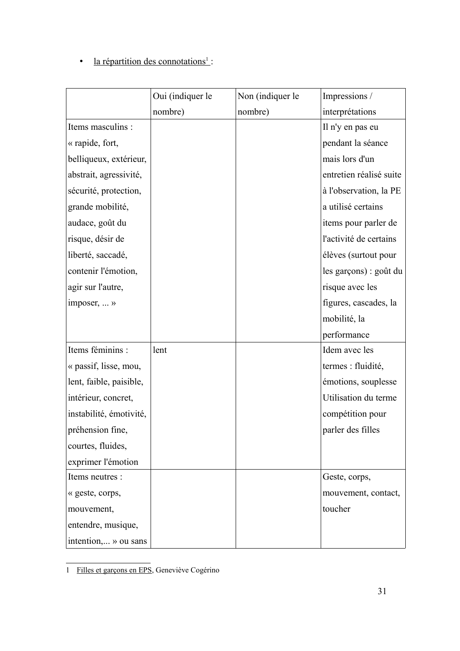# $\bullet$  la répartition des connotations<sup>1</sup>:

|                         | Oui (indiquer le | Non (indiquer le | Impressions /           |
|-------------------------|------------------|------------------|-------------------------|
|                         | nombre)          | nombre)          | interprétations         |
| Items masculins :       |                  |                  | Il n'y en pas eu        |
| « rapide, fort,         |                  |                  | pendant la séance       |
| belliqueux, extérieur,  |                  |                  | mais lors d'un          |
| abstrait, agressivité,  |                  |                  | entretien réalisé suite |
| sécurité, protection,   |                  |                  | à l'observation, la PE  |
| grande mobilité,        |                  |                  | a utilisé certains      |
| audace, goût du         |                  |                  | items pour parler de    |
| risque, désir de        |                  |                  | l'activité de certains  |
| liberté, saccadé,       |                  |                  | élèves (surtout pour    |
| contenir l'émotion,     |                  |                  | les garçons) : goût du  |
| agir sur l'autre,       |                  |                  | risque avec les         |
| imposer, $\dots$ »      |                  |                  | figures, cascades, la   |
|                         |                  |                  | mobilité, la            |
|                         |                  |                  | performance             |
| Items féminins :        | lent             |                  | Idem avec les           |
| « passif, lisse, mou,   |                  |                  | termes : fluidité,      |
| lent, faible, paisible, |                  |                  | émotions, souplesse     |
| intérieur, concret,     |                  |                  | Utilisation du terme    |
| instabilité, émotivité, |                  |                  | compétition pour        |
| préhension fine         |                  |                  | parler des filles       |
| courtes, fluides,       |                  |                  |                         |
| exprimer l'émotion      |                  |                  |                         |
| Items neutres :         |                  |                  | Geste, corps,           |
| « geste, corps,         |                  |                  | mouvement, contact,     |
| mouvement,              |                  |                  | toucher                 |
| entendre, musique,      |                  |                  |                         |
| intention, » ou sans    |                  |                  |                         |

<span id="page-31-0"></span><sup>1</sup> Filles et garçons en EPS, Geneviève Cogérino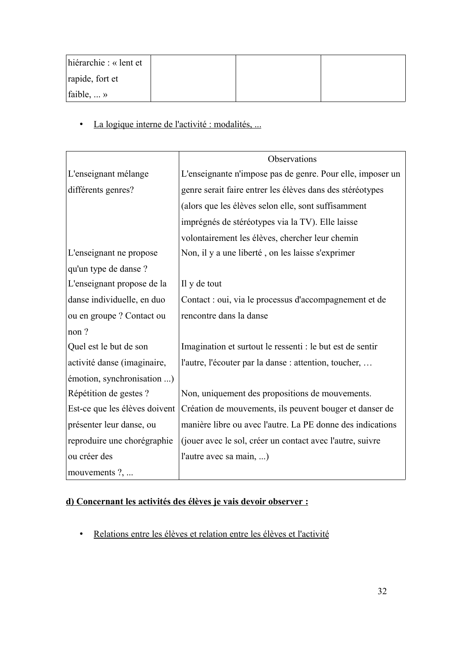| hiérarchie : « lent et      |  |  |
|-----------------------------|--|--|
| rapide, fort et             |  |  |
| faible, $\dots \rightarrow$ |  |  |

· La logique interne de l'activité : modalités, ...

|                               | Observations                                               |
|-------------------------------|------------------------------------------------------------|
| L'enseignant mélange          | L'enseignante n'impose pas de genre. Pour elle, imposer un |
| différents genres?            | genre serait faire entrer les élèves dans des stéréotypes  |
|                               | (alors que les élèves selon elle, sont suffisamment        |
|                               | imprégnés de stéréotypes via la TV). Elle laisse           |
|                               | volontairement les élèves, chercher leur chemin            |
| L'enseignant ne propose       | Non, il y a une liberté, on les laisse s'exprimer          |
| qu'un type de danse ?         |                                                            |
| L'enseignant propose de la    | Il y de tout                                               |
| danse individuelle, en duo    | Contact : oui, via le processus d'accompagnement et de     |
| ou en groupe ? Contact ou     | rencontre dans la danse                                    |
| non?                          |                                                            |
| Quel est le but de son        | Imagination et surtout le ressenti : le but est de sentir  |
| activité danse (imaginaire,   | l'autre, l'écouter par la danse : attention, toucher,      |
| émotion, synchronisation )    |                                                            |
| Répétition de gestes ?        | Non, uniquement des propositions de mouvements.            |
| Est-ce que les élèves doivent | Création de mouvements, ils peuvent bouger et danser de    |
| présenter leur danse, ou      | manière libre ou avec l'autre. La PE donne des indications |
| reproduire une chorégraphie   | (jouer avec le sol, créer un contact avec l'autre, suivre  |
| ou créer des                  | l'autre avec sa main, )                                    |
| mouvements ?,                 |                                                            |

# d) Concernant les activités des élèves je vais devoir observer :

· Relations entre les élèves et relation entre les élèves et l'activité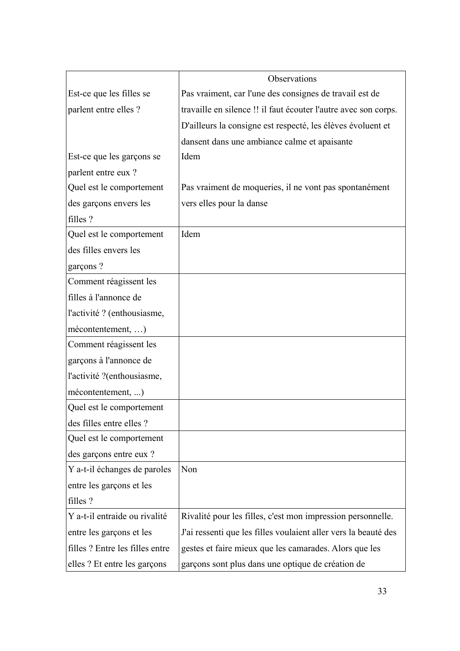|                                 | Observations                                                    |
|---------------------------------|-----------------------------------------------------------------|
| Est-ce que les filles se        | Pas vraiment, car l'une des consignes de travail est de         |
| parlent entre elles ?           | travaille en silence !! il faut écouter l'autre avec son corps. |
|                                 | D'ailleurs la consigne est respecté, les élèves évoluent et     |
|                                 | dansent dans une ambiance calme et apaisante                    |
| Est-ce que les garçons se       | Idem                                                            |
| parlent entre eux ?             |                                                                 |
| Quel est le comportement        | Pas vraiment de moqueries, il ne vont pas spontanément          |
| des garçons envers les          | vers elles pour la danse                                        |
| filles ?                        |                                                                 |
| Quel est le comportement        | Idem                                                            |
| des filles envers les           |                                                                 |
| garçons?                        |                                                                 |
| Comment réagissent les          |                                                                 |
| filles à l'annonce de           |                                                                 |
| l'activité ? (enthousiasme,     |                                                                 |
| mécontentement, )               |                                                                 |
| Comment réagissent les          |                                                                 |
| garçons à l'annonce de          |                                                                 |
| l'activité ?(enthousiasme,      |                                                                 |
| mécontentement, )               |                                                                 |
| Quel est le comportement        |                                                                 |
| des filles entre elles ?        |                                                                 |
| Quel est le comportement        |                                                                 |
| des garçons entre eux ?         |                                                                 |
| Y a-t-il échanges de paroles    | Non                                                             |
| entre les garçons et les        |                                                                 |
| filles?                         |                                                                 |
| Y a-t-il entraide ou rivalité   | Rivalité pour les filles, c'est mon impression personnelle.     |
| entre les garçons et les        | J'ai ressenti que les filles voulaient aller vers la beauté des |
| filles ? Entre les filles entre | gestes et faire mieux que les camarades. Alors que les          |
| elles ? Et entre les garçons    | garçons sont plus dans une optique de création de               |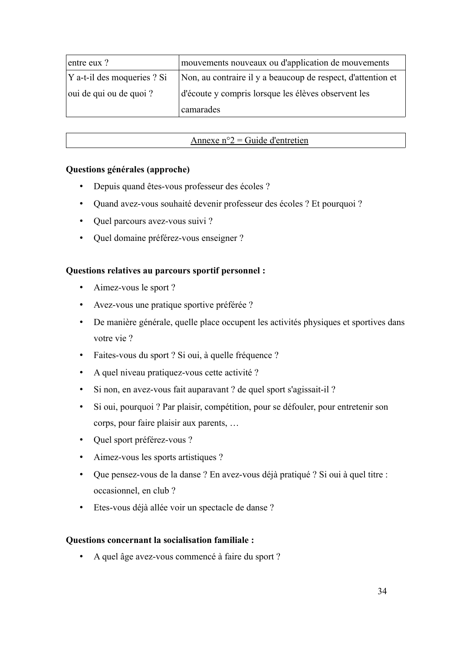| entre eux ?                      | mouvements nouveaux ou d'application de mouvements           |
|----------------------------------|--------------------------------------------------------------|
| Y a-t-il des moqueries ? Si      | Non, au contraire il y a beaucoup de respect, d'attention et |
| $\alpha$ oui de qui ou de quoi ? | d'écoute y compris lorsque les élèves observent les          |
|                                  | camarades                                                    |

# Annexe  $n^{\circ}2$  = Guide d'entretien

# Questions générales (approche)

- Depuis quand êtes-vous professeur des écoles ?  $\bullet$
- Quand avez-vous souhaité devenir professeur des écoles ? Et pourquoi ?  $\bullet$
- Quel parcours avez-vous suivi?
- Quel domaine préférez-vous enseigner ?

## Questions relatives au parcours sportif personnel :

- Aimez-vous le sport ?
- Avez-vous une pratique sportive préférée ?
- De manière générale, quelle place occupent les activités physiques et sportives dans votre vie ?
- Faites-vous du sport ? Si oui, à quelle fréquence ?
- A quel niveau pratiquez-vous cette activité?
- Si non, en avez-vous fait auparavant ? de quel sport s'agissait-il ?
- Si oui, pourquoi ? Par plaisir, compétition, pour se défouler, pour entretenir son  $\bullet$  . corps, pour faire plaisir aux parents, ...
- Quel sport préférez-vous ?
- Aimez-vous les sports artistiques ?
- Que pensez-vous de la danse ? En avez-vous déjà pratiqué ? Si oui à quel titre : occasionnel, en club ?
- · Etes-vous déjà allée voir un spectacle de danse ?

### **Questions concernant la socialisation familiale:**

A quel âge avez-vous commencé à faire du sport ?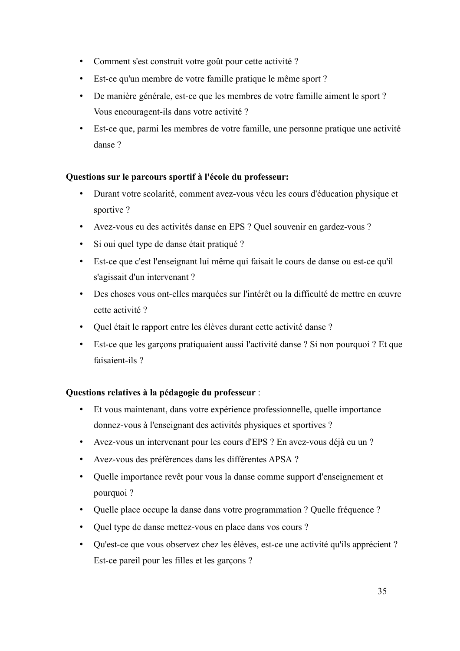- Comment s'est construit votre goût pour cette activité ?
- · Est-ce qu'un membre de votre famille pratique le même sport ?
- · De manière générale, est-ce que les membres de votre famille aiment le sport ? Vous encouragent-ils dans votre activité ?
- · Est-ce que, parmi les membres de votre famille, une personne pratique une activité danse ?

# **Questions sur le parcours sportif à l'école du professeur:**

- · Durant votre scolarité, comment avez-vous vécu les cours d'éducation physique et sportive?
- Avez-vous eu des activités danse en EPS ? Quel souvenir en gardez-vous ?
- · Si oui quel type de danse était pratiqué ?
- · Est-ce que c'est l'enseignant lui même qui faisait le cours de danse ou est-ce qu'il s'agissait d'un intervenant ?
- · Des choses vous ont-elles marquées sur l'intérêt ou la difficulté de mettre en œuvre cette activité ?
- · Quel était le rapport entre les élèves durant cette activité danse ?
- · Est-ce que les garçons pratiquaient aussi l'activité danse ? Si non pourquoi ? Et que faisaient-ils?

# **Questions relatives à la pédagogie du professeur :**

- · Et vous maintenant, dans votre expérience professionnelle, quelle importance donnez-vous à l'enseignant des activités physiques et sportives ?
- · Avez-vous un intervenant pour les cours d'EPS ? En avez-vous déjà eu un ?
- · Avez-vous des préférences dans les différentes APSA ?
- · Quelle importance revêt pour vous la danse comme support d'enseignement et pourquoi ?
- · Quelle place occupe la danse dans votre programmation ? Quelle fréquence ?
- Quel type de danse mettez-vous en place dans vos cours ?
- · Qu'est-ce que vous observez chez les élèves, est-ce une activité qu'ils apprécient ? Est-ce pareil pour les filles et les garçons ?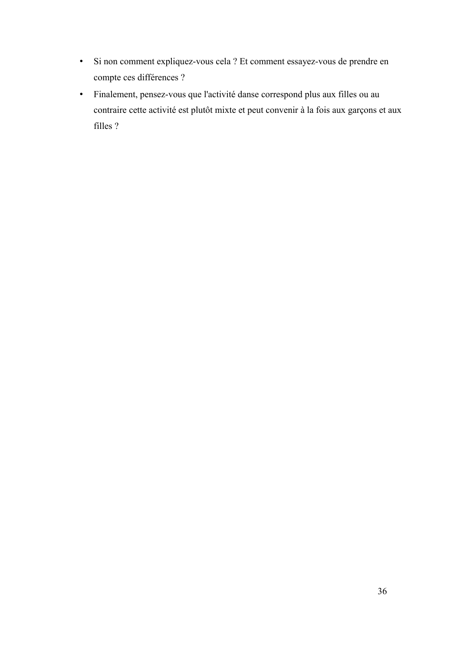- · Si non comment expliquez-vous cela ? Et comment essayez-vous de prendre en compte ces différences ?
- · Finalement, pensez-vous que l'activité danse correspond plus aux filles ou au contraire cette activité est plutôt mixte et peut convenir à la fois aux garçons et aux filles ?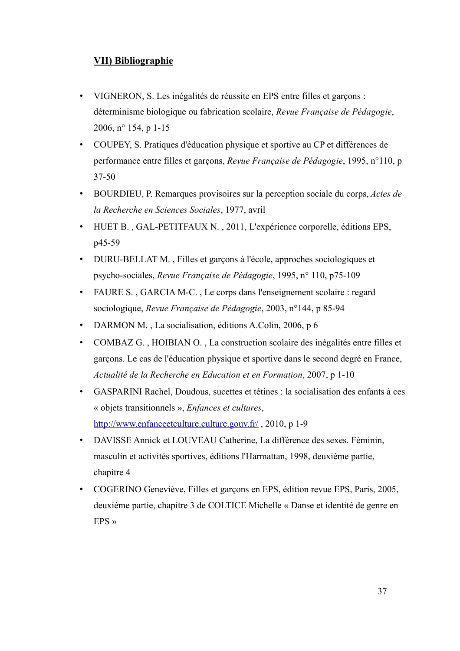# **VII) Bibliographie**

- VIGNERON, S. Les inégalités de réussite en EPS entre filles et garçons :  $\bullet$ déterminisme biologique ou fabrication scolaire, Revue Française de Pédagogie, 2006, n° 154, p 1-15
- COUPEY, S. Pratiques d'éducation physique et sportive au CP et différences de  $\bullet$ performance entre filles et garçons, Revue Française de Pédagogie, 1995, n°110, p  $37 - 50$
- BOURDIEU, P. Remarques provisoires sur la perception sociale du corps. Actes de la Recherche en Sciences Sociales, 1977, avril
- HUET B., GAL-PETITFAUX N., 2011, L'expérience corporelle, éditions EPS. p45-59
- DURU-BELLAT M., Filles et garçons à l'école, approches sociologiques et psycho-sociales, Revue Française de Pédagogie, 1995, n° 110, p75-109
- FAURE S., GARCIA M-C., Le corps dans l'enseignement scolaire : regard  $\bullet$ sociologique, Revue Française de Pédagogie, 2003, n°144, p 85-94
- DARMON M., La socialisation, éditions A.Colin, 2006, p 6
- COMBAZ G., HOIBIAN O., La construction scolaire des inégalités entre filles et  $\bullet$ garçons. Le cas de l'éducation physique et sportive dans le second degré en France, Actualité de la Recherche en Education et en Formation, 2007, p 1-10
- GASPARINI Rachel, Doudous, sucettes et tétines : la socialisation des enfants à ces « objets transitionnels », Enfances et cultures, http://www.enfanceetculture.culture.gouv.fr/, 2010, p 1-9
- $\bullet$ DAVISSE Annick et LOUVEAU Catherine, La différence des sexes. Féminin, masculin et activités sportives, éditions l'Harmattan, 1998, deuxième partie, chapitre 4
- COGERINO Geneviève, Filles et garçons en EPS, édition revue EPS, Paris, 2005, deuxième partie, chapitre 3 de COLTICE Michelle « Danse et identité de genre en EPS  $\rightarrow$